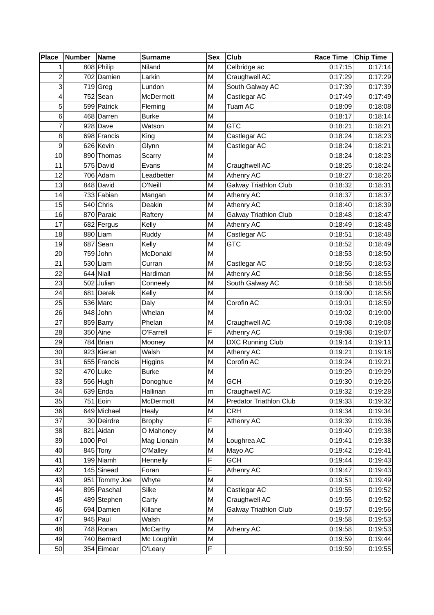| <b>Place</b>   | <b>Number</b> | Name          | <b>Surname</b>  | <b>Sex</b> | Club                         | <b>Race Time</b> | Chip Time |
|----------------|---------------|---------------|-----------------|------------|------------------------------|------------------|-----------|
| 1              |               | 808 Philip    | Niland          | M          | Celbridge ac                 | 0:17:15          | 0:17:14   |
| $\overline{c}$ |               | 702 Damien    | Larkin          | M          | Craughwell AC                | 0:17:29          | 0:17:29   |
| 3              |               | $719$ Greg    | Lundon          | M          | South Galway AC              | 0:17:39          | 0:17:39   |
| 4              |               | $752$ Sean    | McDermott       | M          | Castlegar AC                 | 0:17:49          | 0:17:49   |
| 5              |               | 599 Patrick   | Fleming         | М          | Tuam AC                      | 0:18:09          | 0:18:08   |
| 6              |               | 468 Darren    | <b>Burke</b>    | М          |                              | 0:18:17          | 0:18:14   |
| 7              |               | $928$ Dave    | Watson          | М          | <b>GTC</b>                   | 0:18:21          | 0:18:21   |
| 8              |               | 698 Francis   | King            | M          | Castlegar AC                 | 0:18:24          | 0:18:23   |
| 9              |               | 626 Kevin     | Glynn           | M          | Castlegar AC                 | 0:18:24          | 0:18:21   |
| 10             |               | 890 Thomas    | Scarry          | M          |                              | 0:18:24          | 0:18:23   |
| 11             |               | 575 David     | Evans           | M          | Craughwell AC                | 0:18:25          | 0:18:24   |
| 12             |               | 706 Adam      | Leadbetter      | M          | Athenry AC                   | 0:18:27          | 0:18:26   |
| 13             |               | 848 David     | O'Neill         | M          | <b>Galway Triathlon Club</b> | 0:18:32          | 0:18:31   |
| 14             |               | 733 Fabian    | Mangan          | M          | Athenry AC                   | 0:18:37          | 0:18:37   |
| 15             |               | $540$ Chris   | Deakin          | М          | Athenry AC                   | 0:18:40          | 0:18:39   |
| 16             |               | 870 Paraic    | Raftery         | M          | <b>Galway Triathlon Club</b> | 0:18:48          | 0:18:47   |
| 17             |               | 682 Fergus    | Kelly           | M          | Athenry AC                   | 0:18:49          | 0:18:48   |
| 18             |               | 880 Liam      | Ruddy           | М          | Castlegar AC                 | 0:18:51          | 0:18:48   |
| 19             |               | $687$ Sean    | Kelly           | М          | <b>GTC</b>                   | 0:18:52          | 0:18:49   |
| 20             |               | 759 John      | McDonald        | M          |                              | 0:18:53          | 0:18:50   |
| 21             |               | $530$ Liam    | Curran          | M          | Castlegar AC                 | 0:18:55          | 0:18:53   |
| 22             |               | $644$ Niall   | Hardiman        | М          | Athenry AC                   | 0:18:56          | 0:18:55   |
| 23             |               | $502$ Julian  | Conneely        | М          | South Galway AC              | 0:18:58          | 0:18:58   |
| 24             |               | 681 Derek     | Kelly           | М          |                              | 0:19:00          | 0:18:58   |
| 25             |               | $536$ Marc    | Daly            | M          | Corofin AC                   | 0:19:01          | 0:18:59   |
| 26             |               | $948$ John    | Whelan          | М          |                              | 0:19:02          | 0:19:00   |
| 27             |               | 859 Barry     | Phelan          | М          | Craughwell AC                | 0:19:08          | 0:19:08   |
| 28             |               | $350$ Aine    | O'Farrell       | F          | Athenry AC                   | 0:19:08          | 0:19:07   |
| 29             |               | $784$ Brian   | Mooney          | М          | DXC Running Club             | 0:19:14          | 0:19:11   |
| 30             |               | 923 Kieran    | Walsh           | М          | Athenry AC                   | 0:19:21          | 0:19:18   |
| 31             |               | 655 Francis   | Higgins         | M          | Corofin AC                   | 0:19:24          | 0:19:21   |
| 32             |               | $470$ Luke    | <b>Burke</b>    | Μ          |                              | 0:19:29          | 0:19:29   |
| 33             |               | $556$ Hugh    | Donoghue        | M          | <b>GCH</b>                   | 0:19:30          | 0:19:26   |
| 34             |               | $639$ Enda    | Hallinan        | m          | Craughwell AC                | 0:19:32          | 0:19:28   |
| 35             |               | $751$ Eoin    | McDermott       | М          | Predator Triathlon Club      | 0:19:33          | 0:19:32   |
| 36             |               | 649 Michael   | Healy           | М          | <b>CRH</b>                   | 0:19:34          | 0:19:34   |
| 37             |               | 30 Deirdre    | <b>Brophy</b>   | F          | Athenry AC                   | 0:19:39          | 0:19:36   |
| 38             |               | 821 Aidan     | O Mahoney       | Μ          |                              | 0:19:40          | 0:19:38   |
| 39             | $1000$ Pol    |               | Mag Lionain     | М          | Loughrea AC                  | 0:19:41          | 0:19:38   |
| 40             |               | $845$ Tony    | O'Malley        | Μ          | Mayo AC                      | 0:19:42          | 0:19:41   |
| 41             |               | $199$ Niamh   | Hennelly        | F          | <b>GCH</b>                   | 0:19:44          | 0:19:43   |
| 42             |               | $145$ Sinead  | Foran           | F          | Athenry AC                   | 0:19:47          | 0:19:43   |
| 43             |               | 951 Tommy Joe | Whyte           | М          |                              | 0:19:51          | 0:19:49   |
| 44             |               | 895 Paschal   | Silke           | М          | Castlegar AC                 | 0:19:55          | 0:19:52   |
| 45             |               | 489 Stephen   | Carty           | M          | Craughwell AC                | 0:19:55          | 0:19:52   |
| 46             |               | 694 Damien    | Killane         | Μ          | <b>Galway Triathlon Club</b> | 0:19:57          | 0:19:56   |
| 47             |               | $945$ Paul    | Walsh           | М          |                              | 0:19:58          | 0:19:53   |
| 48             |               | 748 Ronan     | <b>McCarthy</b> | Μ          | Athenry AC                   | 0:19:58          | 0:19:53   |
| 49             |               | 740 Bernard   | Mc Loughlin     | Μ          |                              | 0:19:59          | 0:19:44   |
| 50             |               | 354 Eimear    | O'Leary         | F          |                              | 0:19:59          | 0:19:55   |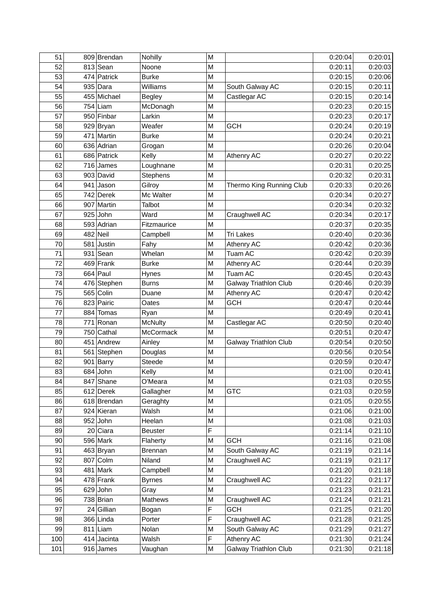| 51  | 809 Brendan   | Nohilly         | M |                              | 0:20:04 | 0:20:01 |
|-----|---------------|-----------------|---|------------------------------|---------|---------|
| 52  | $813$ Sean    | Noone           | M |                              | 0:20:11 | 0:20:03 |
| 53  | 474 Patrick   | <b>Burke</b>    | M |                              | 0:20:15 | 0:20:06 |
| 54  | $935$ Dara    | <b>Williams</b> | M | South Galway AC              | 0:20:15 | 0:20:11 |
| 55  | 455 Michael   | <b>Begley</b>   | M | Castlegar AC                 | 0:20:15 | 0:20:14 |
| 56  | $754$ Liam    | McDonagh        | M |                              | 0:20:23 | 0:20:15 |
| 57  | 950 Finbar    | Larkin          | M |                              | 0:20:23 | 0:20:17 |
| 58  | 929 Bryan     | Weafer          | M | <b>GCH</b>                   | 0:20:24 | 0:20:19 |
| 59  | 471 Martin    | <b>Burke</b>    | M |                              | 0:20:24 | 0:20:21 |
| 60  | 636 Adrian    | Grogan          | M |                              | 0:20:26 | 0:20:04 |
| 61  | 686 Patrick   | Kelly           | M | Athenry AC                   | 0:20:27 | 0:20:22 |
| 62  | $716$ James   | Loughnane       | M |                              | 0:20:31 | 0:20:25 |
| 63  | 903 David     | Stephens        | M |                              | 0:20:32 | 0:20:31 |
| 64  | $941$ Jason   | Gilroy          | M | Thermo King Running Club     | 0:20:33 | 0:20:26 |
| 65  | 742 Derek     | Mc Walter       | M |                              | 0:20:34 | 0:20:27 |
| 66  | 907 Martin    | Talbot          | M |                              | 0:20:34 | 0:20:32 |
| 67  | $925$ John    | Ward            | M | Craughwell AC                | 0:20:34 | 0:20:17 |
| 68  | 593 Adrian    | Fitzmaurice     | M |                              | 0:20:37 | 0:20:35 |
| 69  | $482$ Neil    | Campbell        | M | <b>Tri Lakes</b>             | 0:20:40 | 0:20:36 |
| 70  | 581 Justin    | Fahy            | M | Athenry AC                   | 0:20:42 | 0:20:36 |
| 71  | $931$ Sean    | Whelan          | M | Tuam AC                      | 0:20:42 | 0:20:39 |
| 72  | $469$ Frank   | <b>Burke</b>    | M | Athenry AC                   | 0:20:44 | 0:20:39 |
| 73  | $664$ Paul    | Hynes           | M | Tuam AC                      | 0:20:45 | 0:20:43 |
| 74  | 476 Stephen   | <b>Burns</b>    | M | Galway Triathlon Club        | 0:20:46 | 0:20:39 |
| 75  | $565$ Colin   | Duane           | M | Athenry AC                   | 0:20:47 | 0:20:42 |
| 76  | 823 Pairic    | Oates           | M | <b>GCH</b>                   | 0:20:47 | 0:20:44 |
| 77  | 884 Tomas     | Ryan            | M |                              | 0:20:49 | 0:20:41 |
| 78  | 771 Ronan     | <b>McNulty</b>  | M | Castlegar AC                 | 0:20:50 | 0:20:40 |
| 79  | 750 Cathal    | McCormack       | M |                              | 0:20:51 | 0:20:47 |
| 80  | 451 Andrew    | Ainley          | M | Galway Triathlon Club        | 0:20:54 | 0:20:50 |
| 81  | 561 Stephen   | Douglas         | M |                              | 0:20:56 | 0:20:54 |
| 82  | $901$ Barry   | Steede          | M |                              | 0:20:59 | 0:20:47 |
| 83  | $684$ John    | Kelly           | M |                              | 0:21:00 | 0:20:41 |
| 84  | 847 Shane     | O'Meara         | M |                              | 0:21:03 | 0:20:55 |
| 85  | 612 Derek     | Gallagher       | M | <b>GTC</b>                   | 0:21:03 | 0:20:59 |
| 86  | 618 Brendan   | Geraghty        | M |                              | 0:21:05 | 0:20:55 |
| 87  | 924 Kieran    | Walsh           | Μ |                              | 0:21:06 | 0:21:00 |
| 88  | $952$ John    | Heelan          | M |                              | 0:21:08 | 0:21:03 |
| 89  | $20$ Ciara    | <b>Beuster</b>  | F |                              | 0:21:14 | 0:21:10 |
| 90  | 596 Mark      | Flaherty        | M | <b>GCH</b>                   | 0:21:16 | 0:21:08 |
| 91  | $463$ Bryan   | <b>Brennan</b>  | M | South Galway AC              | 0:21:19 | 0:21:14 |
| 92  | 807 Colm      | Niland          | M | Craughwell AC                | 0:21:19 | 0:21:17 |
| 93  | $481$ Mark    | Campbell        | Μ |                              | 0:21:20 | 0:21:18 |
| 94  | $478$ Frank   | <b>Byrnes</b>   | M | Craughwell AC                | 0:21:22 | 0:21:17 |
| 95  | $629$ John    | Gray            | Μ |                              | 0:21:23 | 0:21:21 |
| 96  | $738$ Brian   | Mathews         | M | Craughwell AC                | 0:21:24 | 0:21:21 |
| 97  | 24 Gillian    | Bogan           | F | <b>GCH</b>                   | 0:21:25 | 0:21:20 |
| 98  | $366$ Linda   | Porter          | F | Craughwell AC                | 0:21:28 | 0:21:25 |
| 99  | $811$  Liam   | Nolan           | M | South Galway AC              | 0:21:29 | 0:21:27 |
| 100 | $414$ Jacinta | Walsh           | F | Athenry AC                   | 0:21:30 | 0:21:24 |
| 101 | $916$ James   | Vaughan         | М | <b>Galway Triathlon Club</b> | 0:21:30 | 0:21:18 |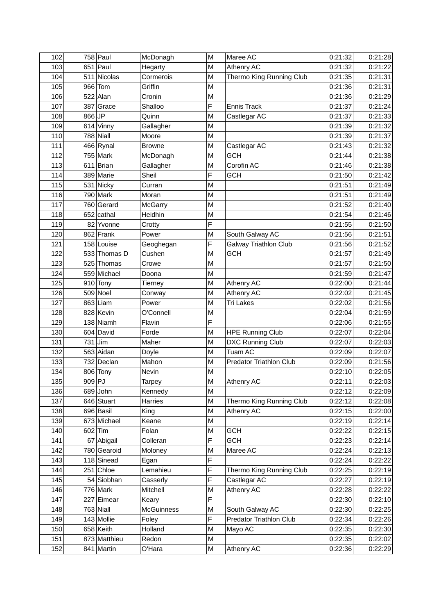| $651$ Paul<br>103<br>M<br>Athenry AC<br>0:21:32<br>0:21:22<br>Hegarty<br>Thermo King Running Club<br>104<br>511 Nicolas<br>Cormerois<br>0:21:35<br>0:21:31<br>M<br>$966$ Tom<br>Griffin<br>0:21:36<br>0:21:31<br>105<br>M<br>$522$ Alan<br>M<br>0:21:36<br>0:21:29<br>106<br>Cronin<br>F<br>107<br>387 Grace<br><b>Ennis Track</b><br>Shalloo<br>0:21:37<br>0:21:24<br>$866$ JP<br>Castlegar AC<br>0:21:37<br>0:21:33<br>108<br>Quinn<br>M<br>0:21:32<br>109<br>$614$ Vinny<br>0:21:39<br>Gallagher<br>M<br>$788$ Niall<br>M<br>110<br>Moore<br>0:21:39<br>0:21:37<br>111<br>$466$ Rynal<br>M<br>Castlegar AC<br>0:21:43<br>0:21:32<br><b>Browne</b><br>112<br>755 Mark<br><b>GCH</b><br>0:21:44<br>0:21:38<br>McDonagh<br>M<br>Corofin AC<br>0:21:38<br>113<br>$611$  Brian<br>0:21:46<br>Gallagher<br>M<br>F<br>114<br>389 Marie<br>Sheil<br><b>GCH</b><br>0:21:42<br>0:21:50<br>115<br>$531$ Nicky<br>M<br>0:21:51<br>0:21:49<br>Curran<br>116<br>790 Mark<br>0:21:49<br>Moran<br>M<br>0:21:51<br>117<br>760 Gerard<br>0:21:52<br>0:21:40<br>McGarry<br>M<br>118<br>$652$ cathal<br>Heidhin<br>M<br>0:21:54<br>0:21:46<br>F<br>82 Yvonne<br>0:21:50<br>119<br>0:21:55<br>Crotty<br>120<br>$862$ Frank<br>Power<br>M<br>South Galway AC<br>0:21:56<br>0:21:51<br>F<br><b>Galway Triathlon Club</b><br>121<br>158 Louise<br>0:21:56<br>0:21:52<br>Geoghegan<br>122<br>M<br><b>GCH</b><br>533 Thomas D<br>Cushen<br>0:21:57<br>0:21:49<br>123<br>525 Thomas<br>M<br>0:21:57<br>0:21:50<br>Crowe<br>124<br>559 Michael<br>M<br>0:21:59<br>0:21:47<br>Doona<br>125<br>$910$ Tony<br>0:22:00<br>0:21:44<br>M<br>Athenry AC<br>Tierney<br>126<br>$509$ Noel<br>M<br>Athenry AC<br>0:22:02<br>0:21:45<br>Conway<br>127<br>$863$ Liam<br>M<br>Tri Lakes<br>0:21:56<br>Power<br>0:22:02<br>828 Kevin<br>128<br>O'Connell<br>M<br>0:22:04<br>0:21:59<br>F<br>129<br>$138$ Niamh<br>Flavin<br>0:22:06<br>0:21:55<br>$604$ David<br><b>HPE Running Club</b><br>0:22:04<br>130<br>Forde<br>M<br>0:22:07<br>131<br>$731$ Jim<br>M<br><b>DXC Running Club</b><br>Maher<br>0:22:07<br>0:22:03<br>Tuam AC<br>$563$ Aidan<br>132<br>M<br>0:22:09<br>0:22:07<br>Doyle<br>133<br>732 Declan<br>Mahon<br>0:21:56<br>M<br>Predator Triathlon Club<br>0:22:09<br>0:22:05<br>134<br>806 Tony<br>M<br>0:22:10<br>Nevin<br>909 PJ<br>Tarpey<br>135<br>M<br>Athenry AC<br>0:22:11<br>136<br>$689$ John<br>Kennedy<br>0:22:12<br>0:22:09<br>M<br>137<br>$646$ Stuart<br>Thermo King Running Club<br>0:22:12<br>0:22:08<br><b>Harries</b><br>Μ<br>$696$ Basil<br>0:22:15<br>138<br>King<br>M<br>Athenry AC<br>0:22:00<br>673 Michael<br>139<br>M<br>0:22:19<br>0:22:14<br>Keane<br>$602$ Tim<br>Folan<br><b>GCH</b><br>0:22:22<br>0:22:15<br>140<br>М<br>67 Abigail<br>Colleran<br>F<br><b>GCH</b><br>0:22:14<br>141<br>0:22:23<br>780 Gearoid<br>142<br>Maree AC<br>0:22:24<br>0:22:13<br>Moloney<br>M<br>F<br>$118$ Sinead<br>0:22:24<br>0:22:22<br>143<br>Egan<br>$251$ Chloe<br>F<br>Lemahieu<br>Thermo King Running Club<br>144<br>0:22:25<br>0:22:19<br>F<br>54 Siobhan<br>Castlegar AC<br>145<br>0:22:27<br>0:22:19<br>Casserly<br>$776$ Mark<br>Mitchell<br>Athenry AC<br>0:22:28<br>0:22:22<br>146<br>M<br>F<br>147<br>227 Eimear<br>0:22:30<br>0:22:10<br>Keary<br>$763$ Niall<br>148<br><b>McGuinness</b><br>South Galway AC<br>0:22:30<br>0:22:25<br>М<br><b>Predator Triathlon Club</b><br>143 Mollie<br>F<br>149<br>Foley<br>0:22:34<br>0:22:26<br>$658$ Keith<br>Holland<br>0:22:30<br>150<br>Mayo AC<br>0:22:35<br>M<br>873 Matthieu<br>M<br>151<br>Redon<br>0:22:35<br>0:22:02<br>152<br>841 Martin<br>Athenry AC<br>0:22:36<br>O'Hara<br>M | 102 | $758$ Paul | McDonagh | M | Maree AC | 0:21:32 | 0:21:28 |
|-----------------------------------------------------------------------------------------------------------------------------------------------------------------------------------------------------------------------------------------------------------------------------------------------------------------------------------------------------------------------------------------------------------------------------------------------------------------------------------------------------------------------------------------------------------------------------------------------------------------------------------------------------------------------------------------------------------------------------------------------------------------------------------------------------------------------------------------------------------------------------------------------------------------------------------------------------------------------------------------------------------------------------------------------------------------------------------------------------------------------------------------------------------------------------------------------------------------------------------------------------------------------------------------------------------------------------------------------------------------------------------------------------------------------------------------------------------------------------------------------------------------------------------------------------------------------------------------------------------------------------------------------------------------------------------------------------------------------------------------------------------------------------------------------------------------------------------------------------------------------------------------------------------------------------------------------------------------------------------------------------------------------------------------------------------------------------------------------------------------------------------------------------------------------------------------------------------------------------------------------------------------------------------------------------------------------------------------------------------------------------------------------------------------------------------------------------------------------------------------------------------------------------------------------------------------------------------------------------------------------------------------------------------------------------------------------------------------------------------------------------------------------------------------------------------------------------------------------------------------------------------------------------------------------------------------------------------------------------------------------------------------------------------------------------------------------------------------------------------------------------------------------------------------------------------------------------------------------------------------------------------------------------------------------------------------------------------------------------------------------------------------------------------------------------------------------------------------------------------------------------------------------------------------------------------------------------------------------------------------------------------|-----|------------|----------|---|----------|---------|---------|
| 0:22:03<br>0:22:29                                                                                                                                                                                                                                                                                                                                                                                                                                                                                                                                                                                                                                                                                                                                                                                                                                                                                                                                                                                                                                                                                                                                                                                                                                                                                                                                                                                                                                                                                                                                                                                                                                                                                                                                                                                                                                                                                                                                                                                                                                                                                                                                                                                                                                                                                                                                                                                                                                                                                                                                                                                                                                                                                                                                                                                                                                                                                                                                                                                                                                                                                                                                                                                                                                                                                                                                                                                                                                                                                                                                                                                                                |     |            |          |   |          |         |         |
|                                                                                                                                                                                                                                                                                                                                                                                                                                                                                                                                                                                                                                                                                                                                                                                                                                                                                                                                                                                                                                                                                                                                                                                                                                                                                                                                                                                                                                                                                                                                                                                                                                                                                                                                                                                                                                                                                                                                                                                                                                                                                                                                                                                                                                                                                                                                                                                                                                                                                                                                                                                                                                                                                                                                                                                                                                                                                                                                                                                                                                                                                                                                                                                                                                                                                                                                                                                                                                                                                                                                                                                                                                   |     |            |          |   |          |         |         |
|                                                                                                                                                                                                                                                                                                                                                                                                                                                                                                                                                                                                                                                                                                                                                                                                                                                                                                                                                                                                                                                                                                                                                                                                                                                                                                                                                                                                                                                                                                                                                                                                                                                                                                                                                                                                                                                                                                                                                                                                                                                                                                                                                                                                                                                                                                                                                                                                                                                                                                                                                                                                                                                                                                                                                                                                                                                                                                                                                                                                                                                                                                                                                                                                                                                                                                                                                                                                                                                                                                                                                                                                                                   |     |            |          |   |          |         |         |
|                                                                                                                                                                                                                                                                                                                                                                                                                                                                                                                                                                                                                                                                                                                                                                                                                                                                                                                                                                                                                                                                                                                                                                                                                                                                                                                                                                                                                                                                                                                                                                                                                                                                                                                                                                                                                                                                                                                                                                                                                                                                                                                                                                                                                                                                                                                                                                                                                                                                                                                                                                                                                                                                                                                                                                                                                                                                                                                                                                                                                                                                                                                                                                                                                                                                                                                                                                                                                                                                                                                                                                                                                                   |     |            |          |   |          |         |         |
|                                                                                                                                                                                                                                                                                                                                                                                                                                                                                                                                                                                                                                                                                                                                                                                                                                                                                                                                                                                                                                                                                                                                                                                                                                                                                                                                                                                                                                                                                                                                                                                                                                                                                                                                                                                                                                                                                                                                                                                                                                                                                                                                                                                                                                                                                                                                                                                                                                                                                                                                                                                                                                                                                                                                                                                                                                                                                                                                                                                                                                                                                                                                                                                                                                                                                                                                                                                                                                                                                                                                                                                                                                   |     |            |          |   |          |         |         |
|                                                                                                                                                                                                                                                                                                                                                                                                                                                                                                                                                                                                                                                                                                                                                                                                                                                                                                                                                                                                                                                                                                                                                                                                                                                                                                                                                                                                                                                                                                                                                                                                                                                                                                                                                                                                                                                                                                                                                                                                                                                                                                                                                                                                                                                                                                                                                                                                                                                                                                                                                                                                                                                                                                                                                                                                                                                                                                                                                                                                                                                                                                                                                                                                                                                                                                                                                                                                                                                                                                                                                                                                                                   |     |            |          |   |          |         |         |
|                                                                                                                                                                                                                                                                                                                                                                                                                                                                                                                                                                                                                                                                                                                                                                                                                                                                                                                                                                                                                                                                                                                                                                                                                                                                                                                                                                                                                                                                                                                                                                                                                                                                                                                                                                                                                                                                                                                                                                                                                                                                                                                                                                                                                                                                                                                                                                                                                                                                                                                                                                                                                                                                                                                                                                                                                                                                                                                                                                                                                                                                                                                                                                                                                                                                                                                                                                                                                                                                                                                                                                                                                                   |     |            |          |   |          |         |         |
|                                                                                                                                                                                                                                                                                                                                                                                                                                                                                                                                                                                                                                                                                                                                                                                                                                                                                                                                                                                                                                                                                                                                                                                                                                                                                                                                                                                                                                                                                                                                                                                                                                                                                                                                                                                                                                                                                                                                                                                                                                                                                                                                                                                                                                                                                                                                                                                                                                                                                                                                                                                                                                                                                                                                                                                                                                                                                                                                                                                                                                                                                                                                                                                                                                                                                                                                                                                                                                                                                                                                                                                                                                   |     |            |          |   |          |         |         |
|                                                                                                                                                                                                                                                                                                                                                                                                                                                                                                                                                                                                                                                                                                                                                                                                                                                                                                                                                                                                                                                                                                                                                                                                                                                                                                                                                                                                                                                                                                                                                                                                                                                                                                                                                                                                                                                                                                                                                                                                                                                                                                                                                                                                                                                                                                                                                                                                                                                                                                                                                                                                                                                                                                                                                                                                                                                                                                                                                                                                                                                                                                                                                                                                                                                                                                                                                                                                                                                                                                                                                                                                                                   |     |            |          |   |          |         |         |
|                                                                                                                                                                                                                                                                                                                                                                                                                                                                                                                                                                                                                                                                                                                                                                                                                                                                                                                                                                                                                                                                                                                                                                                                                                                                                                                                                                                                                                                                                                                                                                                                                                                                                                                                                                                                                                                                                                                                                                                                                                                                                                                                                                                                                                                                                                                                                                                                                                                                                                                                                                                                                                                                                                                                                                                                                                                                                                                                                                                                                                                                                                                                                                                                                                                                                                                                                                                                                                                                                                                                                                                                                                   |     |            |          |   |          |         |         |
|                                                                                                                                                                                                                                                                                                                                                                                                                                                                                                                                                                                                                                                                                                                                                                                                                                                                                                                                                                                                                                                                                                                                                                                                                                                                                                                                                                                                                                                                                                                                                                                                                                                                                                                                                                                                                                                                                                                                                                                                                                                                                                                                                                                                                                                                                                                                                                                                                                                                                                                                                                                                                                                                                                                                                                                                                                                                                                                                                                                                                                                                                                                                                                                                                                                                                                                                                                                                                                                                                                                                                                                                                                   |     |            |          |   |          |         |         |
|                                                                                                                                                                                                                                                                                                                                                                                                                                                                                                                                                                                                                                                                                                                                                                                                                                                                                                                                                                                                                                                                                                                                                                                                                                                                                                                                                                                                                                                                                                                                                                                                                                                                                                                                                                                                                                                                                                                                                                                                                                                                                                                                                                                                                                                                                                                                                                                                                                                                                                                                                                                                                                                                                                                                                                                                                                                                                                                                                                                                                                                                                                                                                                                                                                                                                                                                                                                                                                                                                                                                                                                                                                   |     |            |          |   |          |         |         |
|                                                                                                                                                                                                                                                                                                                                                                                                                                                                                                                                                                                                                                                                                                                                                                                                                                                                                                                                                                                                                                                                                                                                                                                                                                                                                                                                                                                                                                                                                                                                                                                                                                                                                                                                                                                                                                                                                                                                                                                                                                                                                                                                                                                                                                                                                                                                                                                                                                                                                                                                                                                                                                                                                                                                                                                                                                                                                                                                                                                                                                                                                                                                                                                                                                                                                                                                                                                                                                                                                                                                                                                                                                   |     |            |          |   |          |         |         |
|                                                                                                                                                                                                                                                                                                                                                                                                                                                                                                                                                                                                                                                                                                                                                                                                                                                                                                                                                                                                                                                                                                                                                                                                                                                                                                                                                                                                                                                                                                                                                                                                                                                                                                                                                                                                                                                                                                                                                                                                                                                                                                                                                                                                                                                                                                                                                                                                                                                                                                                                                                                                                                                                                                                                                                                                                                                                                                                                                                                                                                                                                                                                                                                                                                                                                                                                                                                                                                                                                                                                                                                                                                   |     |            |          |   |          |         |         |
|                                                                                                                                                                                                                                                                                                                                                                                                                                                                                                                                                                                                                                                                                                                                                                                                                                                                                                                                                                                                                                                                                                                                                                                                                                                                                                                                                                                                                                                                                                                                                                                                                                                                                                                                                                                                                                                                                                                                                                                                                                                                                                                                                                                                                                                                                                                                                                                                                                                                                                                                                                                                                                                                                                                                                                                                                                                                                                                                                                                                                                                                                                                                                                                                                                                                                                                                                                                                                                                                                                                                                                                                                                   |     |            |          |   |          |         |         |
|                                                                                                                                                                                                                                                                                                                                                                                                                                                                                                                                                                                                                                                                                                                                                                                                                                                                                                                                                                                                                                                                                                                                                                                                                                                                                                                                                                                                                                                                                                                                                                                                                                                                                                                                                                                                                                                                                                                                                                                                                                                                                                                                                                                                                                                                                                                                                                                                                                                                                                                                                                                                                                                                                                                                                                                                                                                                                                                                                                                                                                                                                                                                                                                                                                                                                                                                                                                                                                                                                                                                                                                                                                   |     |            |          |   |          |         |         |
|                                                                                                                                                                                                                                                                                                                                                                                                                                                                                                                                                                                                                                                                                                                                                                                                                                                                                                                                                                                                                                                                                                                                                                                                                                                                                                                                                                                                                                                                                                                                                                                                                                                                                                                                                                                                                                                                                                                                                                                                                                                                                                                                                                                                                                                                                                                                                                                                                                                                                                                                                                                                                                                                                                                                                                                                                                                                                                                                                                                                                                                                                                                                                                                                                                                                                                                                                                                                                                                                                                                                                                                                                                   |     |            |          |   |          |         |         |
|                                                                                                                                                                                                                                                                                                                                                                                                                                                                                                                                                                                                                                                                                                                                                                                                                                                                                                                                                                                                                                                                                                                                                                                                                                                                                                                                                                                                                                                                                                                                                                                                                                                                                                                                                                                                                                                                                                                                                                                                                                                                                                                                                                                                                                                                                                                                                                                                                                                                                                                                                                                                                                                                                                                                                                                                                                                                                                                                                                                                                                                                                                                                                                                                                                                                                                                                                                                                                                                                                                                                                                                                                                   |     |            |          |   |          |         |         |
|                                                                                                                                                                                                                                                                                                                                                                                                                                                                                                                                                                                                                                                                                                                                                                                                                                                                                                                                                                                                                                                                                                                                                                                                                                                                                                                                                                                                                                                                                                                                                                                                                                                                                                                                                                                                                                                                                                                                                                                                                                                                                                                                                                                                                                                                                                                                                                                                                                                                                                                                                                                                                                                                                                                                                                                                                                                                                                                                                                                                                                                                                                                                                                                                                                                                                                                                                                                                                                                                                                                                                                                                                                   |     |            |          |   |          |         |         |
|                                                                                                                                                                                                                                                                                                                                                                                                                                                                                                                                                                                                                                                                                                                                                                                                                                                                                                                                                                                                                                                                                                                                                                                                                                                                                                                                                                                                                                                                                                                                                                                                                                                                                                                                                                                                                                                                                                                                                                                                                                                                                                                                                                                                                                                                                                                                                                                                                                                                                                                                                                                                                                                                                                                                                                                                                                                                                                                                                                                                                                                                                                                                                                                                                                                                                                                                                                                                                                                                                                                                                                                                                                   |     |            |          |   |          |         |         |
|                                                                                                                                                                                                                                                                                                                                                                                                                                                                                                                                                                                                                                                                                                                                                                                                                                                                                                                                                                                                                                                                                                                                                                                                                                                                                                                                                                                                                                                                                                                                                                                                                                                                                                                                                                                                                                                                                                                                                                                                                                                                                                                                                                                                                                                                                                                                                                                                                                                                                                                                                                                                                                                                                                                                                                                                                                                                                                                                                                                                                                                                                                                                                                                                                                                                                                                                                                                                                                                                                                                                                                                                                                   |     |            |          |   |          |         |         |
|                                                                                                                                                                                                                                                                                                                                                                                                                                                                                                                                                                                                                                                                                                                                                                                                                                                                                                                                                                                                                                                                                                                                                                                                                                                                                                                                                                                                                                                                                                                                                                                                                                                                                                                                                                                                                                                                                                                                                                                                                                                                                                                                                                                                                                                                                                                                                                                                                                                                                                                                                                                                                                                                                                                                                                                                                                                                                                                                                                                                                                                                                                                                                                                                                                                                                                                                                                                                                                                                                                                                                                                                                                   |     |            |          |   |          |         |         |
|                                                                                                                                                                                                                                                                                                                                                                                                                                                                                                                                                                                                                                                                                                                                                                                                                                                                                                                                                                                                                                                                                                                                                                                                                                                                                                                                                                                                                                                                                                                                                                                                                                                                                                                                                                                                                                                                                                                                                                                                                                                                                                                                                                                                                                                                                                                                                                                                                                                                                                                                                                                                                                                                                                                                                                                                                                                                                                                                                                                                                                                                                                                                                                                                                                                                                                                                                                                                                                                                                                                                                                                                                                   |     |            |          |   |          |         |         |
|                                                                                                                                                                                                                                                                                                                                                                                                                                                                                                                                                                                                                                                                                                                                                                                                                                                                                                                                                                                                                                                                                                                                                                                                                                                                                                                                                                                                                                                                                                                                                                                                                                                                                                                                                                                                                                                                                                                                                                                                                                                                                                                                                                                                                                                                                                                                                                                                                                                                                                                                                                                                                                                                                                                                                                                                                                                                                                                                                                                                                                                                                                                                                                                                                                                                                                                                                                                                                                                                                                                                                                                                                                   |     |            |          |   |          |         |         |
|                                                                                                                                                                                                                                                                                                                                                                                                                                                                                                                                                                                                                                                                                                                                                                                                                                                                                                                                                                                                                                                                                                                                                                                                                                                                                                                                                                                                                                                                                                                                                                                                                                                                                                                                                                                                                                                                                                                                                                                                                                                                                                                                                                                                                                                                                                                                                                                                                                                                                                                                                                                                                                                                                                                                                                                                                                                                                                                                                                                                                                                                                                                                                                                                                                                                                                                                                                                                                                                                                                                                                                                                                                   |     |            |          |   |          |         |         |
|                                                                                                                                                                                                                                                                                                                                                                                                                                                                                                                                                                                                                                                                                                                                                                                                                                                                                                                                                                                                                                                                                                                                                                                                                                                                                                                                                                                                                                                                                                                                                                                                                                                                                                                                                                                                                                                                                                                                                                                                                                                                                                                                                                                                                                                                                                                                                                                                                                                                                                                                                                                                                                                                                                                                                                                                                                                                                                                                                                                                                                                                                                                                                                                                                                                                                                                                                                                                                                                                                                                                                                                                                                   |     |            |          |   |          |         |         |
|                                                                                                                                                                                                                                                                                                                                                                                                                                                                                                                                                                                                                                                                                                                                                                                                                                                                                                                                                                                                                                                                                                                                                                                                                                                                                                                                                                                                                                                                                                                                                                                                                                                                                                                                                                                                                                                                                                                                                                                                                                                                                                                                                                                                                                                                                                                                                                                                                                                                                                                                                                                                                                                                                                                                                                                                                                                                                                                                                                                                                                                                                                                                                                                                                                                                                                                                                                                                                                                                                                                                                                                                                                   |     |            |          |   |          |         |         |
|                                                                                                                                                                                                                                                                                                                                                                                                                                                                                                                                                                                                                                                                                                                                                                                                                                                                                                                                                                                                                                                                                                                                                                                                                                                                                                                                                                                                                                                                                                                                                                                                                                                                                                                                                                                                                                                                                                                                                                                                                                                                                                                                                                                                                                                                                                                                                                                                                                                                                                                                                                                                                                                                                                                                                                                                                                                                                                                                                                                                                                                                                                                                                                                                                                                                                                                                                                                                                                                                                                                                                                                                                                   |     |            |          |   |          |         |         |
|                                                                                                                                                                                                                                                                                                                                                                                                                                                                                                                                                                                                                                                                                                                                                                                                                                                                                                                                                                                                                                                                                                                                                                                                                                                                                                                                                                                                                                                                                                                                                                                                                                                                                                                                                                                                                                                                                                                                                                                                                                                                                                                                                                                                                                                                                                                                                                                                                                                                                                                                                                                                                                                                                                                                                                                                                                                                                                                                                                                                                                                                                                                                                                                                                                                                                                                                                                                                                                                                                                                                                                                                                                   |     |            |          |   |          |         |         |
|                                                                                                                                                                                                                                                                                                                                                                                                                                                                                                                                                                                                                                                                                                                                                                                                                                                                                                                                                                                                                                                                                                                                                                                                                                                                                                                                                                                                                                                                                                                                                                                                                                                                                                                                                                                                                                                                                                                                                                                                                                                                                                                                                                                                                                                                                                                                                                                                                                                                                                                                                                                                                                                                                                                                                                                                                                                                                                                                                                                                                                                                                                                                                                                                                                                                                                                                                                                                                                                                                                                                                                                                                                   |     |            |          |   |          |         |         |
|                                                                                                                                                                                                                                                                                                                                                                                                                                                                                                                                                                                                                                                                                                                                                                                                                                                                                                                                                                                                                                                                                                                                                                                                                                                                                                                                                                                                                                                                                                                                                                                                                                                                                                                                                                                                                                                                                                                                                                                                                                                                                                                                                                                                                                                                                                                                                                                                                                                                                                                                                                                                                                                                                                                                                                                                                                                                                                                                                                                                                                                                                                                                                                                                                                                                                                                                                                                                                                                                                                                                                                                                                                   |     |            |          |   |          |         |         |
|                                                                                                                                                                                                                                                                                                                                                                                                                                                                                                                                                                                                                                                                                                                                                                                                                                                                                                                                                                                                                                                                                                                                                                                                                                                                                                                                                                                                                                                                                                                                                                                                                                                                                                                                                                                                                                                                                                                                                                                                                                                                                                                                                                                                                                                                                                                                                                                                                                                                                                                                                                                                                                                                                                                                                                                                                                                                                                                                                                                                                                                                                                                                                                                                                                                                                                                                                                                                                                                                                                                                                                                                                                   |     |            |          |   |          |         |         |
|                                                                                                                                                                                                                                                                                                                                                                                                                                                                                                                                                                                                                                                                                                                                                                                                                                                                                                                                                                                                                                                                                                                                                                                                                                                                                                                                                                                                                                                                                                                                                                                                                                                                                                                                                                                                                                                                                                                                                                                                                                                                                                                                                                                                                                                                                                                                                                                                                                                                                                                                                                                                                                                                                                                                                                                                                                                                                                                                                                                                                                                                                                                                                                                                                                                                                                                                                                                                                                                                                                                                                                                                                                   |     |            |          |   |          |         |         |
|                                                                                                                                                                                                                                                                                                                                                                                                                                                                                                                                                                                                                                                                                                                                                                                                                                                                                                                                                                                                                                                                                                                                                                                                                                                                                                                                                                                                                                                                                                                                                                                                                                                                                                                                                                                                                                                                                                                                                                                                                                                                                                                                                                                                                                                                                                                                                                                                                                                                                                                                                                                                                                                                                                                                                                                                                                                                                                                                                                                                                                                                                                                                                                                                                                                                                                                                                                                                                                                                                                                                                                                                                                   |     |            |          |   |          |         |         |
|                                                                                                                                                                                                                                                                                                                                                                                                                                                                                                                                                                                                                                                                                                                                                                                                                                                                                                                                                                                                                                                                                                                                                                                                                                                                                                                                                                                                                                                                                                                                                                                                                                                                                                                                                                                                                                                                                                                                                                                                                                                                                                                                                                                                                                                                                                                                                                                                                                                                                                                                                                                                                                                                                                                                                                                                                                                                                                                                                                                                                                                                                                                                                                                                                                                                                                                                                                                                                                                                                                                                                                                                                                   |     |            |          |   |          |         |         |
|                                                                                                                                                                                                                                                                                                                                                                                                                                                                                                                                                                                                                                                                                                                                                                                                                                                                                                                                                                                                                                                                                                                                                                                                                                                                                                                                                                                                                                                                                                                                                                                                                                                                                                                                                                                                                                                                                                                                                                                                                                                                                                                                                                                                                                                                                                                                                                                                                                                                                                                                                                                                                                                                                                                                                                                                                                                                                                                                                                                                                                                                                                                                                                                                                                                                                                                                                                                                                                                                                                                                                                                                                                   |     |            |          |   |          |         |         |
|                                                                                                                                                                                                                                                                                                                                                                                                                                                                                                                                                                                                                                                                                                                                                                                                                                                                                                                                                                                                                                                                                                                                                                                                                                                                                                                                                                                                                                                                                                                                                                                                                                                                                                                                                                                                                                                                                                                                                                                                                                                                                                                                                                                                                                                                                                                                                                                                                                                                                                                                                                                                                                                                                                                                                                                                                                                                                                                                                                                                                                                                                                                                                                                                                                                                                                                                                                                                                                                                                                                                                                                                                                   |     |            |          |   |          |         |         |
|                                                                                                                                                                                                                                                                                                                                                                                                                                                                                                                                                                                                                                                                                                                                                                                                                                                                                                                                                                                                                                                                                                                                                                                                                                                                                                                                                                                                                                                                                                                                                                                                                                                                                                                                                                                                                                                                                                                                                                                                                                                                                                                                                                                                                                                                                                                                                                                                                                                                                                                                                                                                                                                                                                                                                                                                                                                                                                                                                                                                                                                                                                                                                                                                                                                                                                                                                                                                                                                                                                                                                                                                                                   |     |            |          |   |          |         |         |
|                                                                                                                                                                                                                                                                                                                                                                                                                                                                                                                                                                                                                                                                                                                                                                                                                                                                                                                                                                                                                                                                                                                                                                                                                                                                                                                                                                                                                                                                                                                                                                                                                                                                                                                                                                                                                                                                                                                                                                                                                                                                                                                                                                                                                                                                                                                                                                                                                                                                                                                                                                                                                                                                                                                                                                                                                                                                                                                                                                                                                                                                                                                                                                                                                                                                                                                                                                                                                                                                                                                                                                                                                                   |     |            |          |   |          |         |         |
|                                                                                                                                                                                                                                                                                                                                                                                                                                                                                                                                                                                                                                                                                                                                                                                                                                                                                                                                                                                                                                                                                                                                                                                                                                                                                                                                                                                                                                                                                                                                                                                                                                                                                                                                                                                                                                                                                                                                                                                                                                                                                                                                                                                                                                                                                                                                                                                                                                                                                                                                                                                                                                                                                                                                                                                                                                                                                                                                                                                                                                                                                                                                                                                                                                                                                                                                                                                                                                                                                                                                                                                                                                   |     |            |          |   |          |         |         |
|                                                                                                                                                                                                                                                                                                                                                                                                                                                                                                                                                                                                                                                                                                                                                                                                                                                                                                                                                                                                                                                                                                                                                                                                                                                                                                                                                                                                                                                                                                                                                                                                                                                                                                                                                                                                                                                                                                                                                                                                                                                                                                                                                                                                                                                                                                                                                                                                                                                                                                                                                                                                                                                                                                                                                                                                                                                                                                                                                                                                                                                                                                                                                                                                                                                                                                                                                                                                                                                                                                                                                                                                                                   |     |            |          |   |          |         |         |
|                                                                                                                                                                                                                                                                                                                                                                                                                                                                                                                                                                                                                                                                                                                                                                                                                                                                                                                                                                                                                                                                                                                                                                                                                                                                                                                                                                                                                                                                                                                                                                                                                                                                                                                                                                                                                                                                                                                                                                                                                                                                                                                                                                                                                                                                                                                                                                                                                                                                                                                                                                                                                                                                                                                                                                                                                                                                                                                                                                                                                                                                                                                                                                                                                                                                                                                                                                                                                                                                                                                                                                                                                                   |     |            |          |   |          |         |         |
|                                                                                                                                                                                                                                                                                                                                                                                                                                                                                                                                                                                                                                                                                                                                                                                                                                                                                                                                                                                                                                                                                                                                                                                                                                                                                                                                                                                                                                                                                                                                                                                                                                                                                                                                                                                                                                                                                                                                                                                                                                                                                                                                                                                                                                                                                                                                                                                                                                                                                                                                                                                                                                                                                                                                                                                                                                                                                                                                                                                                                                                                                                                                                                                                                                                                                                                                                                                                                                                                                                                                                                                                                                   |     |            |          |   |          |         |         |
|                                                                                                                                                                                                                                                                                                                                                                                                                                                                                                                                                                                                                                                                                                                                                                                                                                                                                                                                                                                                                                                                                                                                                                                                                                                                                                                                                                                                                                                                                                                                                                                                                                                                                                                                                                                                                                                                                                                                                                                                                                                                                                                                                                                                                                                                                                                                                                                                                                                                                                                                                                                                                                                                                                                                                                                                                                                                                                                                                                                                                                                                                                                                                                                                                                                                                                                                                                                                                                                                                                                                                                                                                                   |     |            |          |   |          |         |         |
|                                                                                                                                                                                                                                                                                                                                                                                                                                                                                                                                                                                                                                                                                                                                                                                                                                                                                                                                                                                                                                                                                                                                                                                                                                                                                                                                                                                                                                                                                                                                                                                                                                                                                                                                                                                                                                                                                                                                                                                                                                                                                                                                                                                                                                                                                                                                                                                                                                                                                                                                                                                                                                                                                                                                                                                                                                                                                                                                                                                                                                                                                                                                                                                                                                                                                                                                                                                                                                                                                                                                                                                                                                   |     |            |          |   |          |         |         |
|                                                                                                                                                                                                                                                                                                                                                                                                                                                                                                                                                                                                                                                                                                                                                                                                                                                                                                                                                                                                                                                                                                                                                                                                                                                                                                                                                                                                                                                                                                                                                                                                                                                                                                                                                                                                                                                                                                                                                                                                                                                                                                                                                                                                                                                                                                                                                                                                                                                                                                                                                                                                                                                                                                                                                                                                                                                                                                                                                                                                                                                                                                                                                                                                                                                                                                                                                                                                                                                                                                                                                                                                                                   |     |            |          |   |          |         |         |
|                                                                                                                                                                                                                                                                                                                                                                                                                                                                                                                                                                                                                                                                                                                                                                                                                                                                                                                                                                                                                                                                                                                                                                                                                                                                                                                                                                                                                                                                                                                                                                                                                                                                                                                                                                                                                                                                                                                                                                                                                                                                                                                                                                                                                                                                                                                                                                                                                                                                                                                                                                                                                                                                                                                                                                                                                                                                                                                                                                                                                                                                                                                                                                                                                                                                                                                                                                                                                                                                                                                                                                                                                                   |     |            |          |   |          |         |         |
|                                                                                                                                                                                                                                                                                                                                                                                                                                                                                                                                                                                                                                                                                                                                                                                                                                                                                                                                                                                                                                                                                                                                                                                                                                                                                                                                                                                                                                                                                                                                                                                                                                                                                                                                                                                                                                                                                                                                                                                                                                                                                                                                                                                                                                                                                                                                                                                                                                                                                                                                                                                                                                                                                                                                                                                                                                                                                                                                                                                                                                                                                                                                                                                                                                                                                                                                                                                                                                                                                                                                                                                                                                   |     |            |          |   |          |         |         |
|                                                                                                                                                                                                                                                                                                                                                                                                                                                                                                                                                                                                                                                                                                                                                                                                                                                                                                                                                                                                                                                                                                                                                                                                                                                                                                                                                                                                                                                                                                                                                                                                                                                                                                                                                                                                                                                                                                                                                                                                                                                                                                                                                                                                                                                                                                                                                                                                                                                                                                                                                                                                                                                                                                                                                                                                                                                                                                                                                                                                                                                                                                                                                                                                                                                                                                                                                                                                                                                                                                                                                                                                                                   |     |            |          |   |          |         |         |
|                                                                                                                                                                                                                                                                                                                                                                                                                                                                                                                                                                                                                                                                                                                                                                                                                                                                                                                                                                                                                                                                                                                                                                                                                                                                                                                                                                                                                                                                                                                                                                                                                                                                                                                                                                                                                                                                                                                                                                                                                                                                                                                                                                                                                                                                                                                                                                                                                                                                                                                                                                                                                                                                                                                                                                                                                                                                                                                                                                                                                                                                                                                                                                                                                                                                                                                                                                                                                                                                                                                                                                                                                                   |     |            |          |   |          |         |         |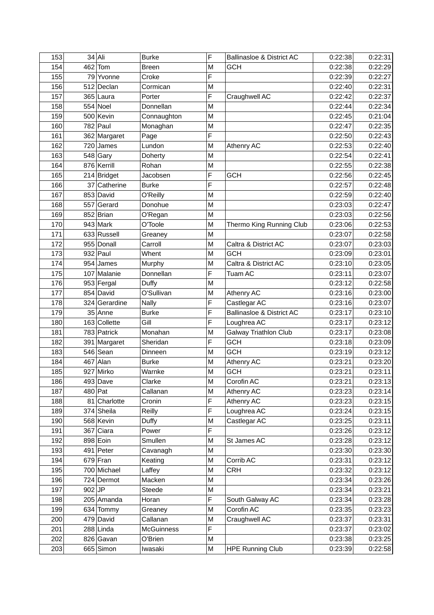| 153 |          | $34$ Ali      | <b>Burke</b>      | F | Ballinasloe & District AC    | 0:22:38 | 0:22:31 |
|-----|----------|---------------|-------------------|---|------------------------------|---------|---------|
| 154 |          | $462$ Tom     | <b>Breen</b>      | M | <b>GCH</b>                   | 0:22:38 | 0:22:29 |
| 155 |          | 79 Yvonne     | Croke             | F |                              | 0:22:39 | 0:22:27 |
| 156 |          | 512 Declan    | Cormican          | M |                              | 0:22:40 | 0:22:31 |
| 157 |          | 365 Laura     | Porter            | F | Craughwell AC                | 0:22:42 | 0:22:37 |
| 158 |          | $554$ Noel    | Donnellan         | M |                              | 0:22:44 | 0:22:34 |
| 159 |          | 500 Kevin     | Connaughton       | M |                              | 0:22:45 | 0:21:04 |
| 160 |          | $782$ Paul    | Monaghan          | M |                              | 0:22:47 | 0:22:35 |
| 161 |          | 362 Margaret  | Page              | F |                              | 0:22:50 | 0:22:43 |
| 162 |          | $720$ James   | Lundon            | M | Athenry AC                   | 0:22:53 | 0:22:40 |
| 163 |          | $548$ Gary    | Doherty           | M |                              | 0:22:54 | 0:22:41 |
| 164 |          | 876 Kerrill   | Rohan             | M |                              | 0:22:55 | 0:22:38 |
| 165 |          | 214 Bridget   | Jacobsen          | F | <b>GCH</b>                   | 0:22:56 | 0:22:45 |
| 166 |          | 37 Catherine  | <b>Burke</b>      | Ë |                              | 0:22:57 | 0:22:48 |
| 167 |          | 853 David     | O'Reilly          | M |                              | 0:22:59 | 0:22:40 |
| 168 |          | 557 Gerard    | Donohue           | M |                              | 0:23:03 | 0:22:47 |
| 169 |          | $852$ Brian   | O'Regan           | M |                              | 0:23:03 | 0:22:56 |
| 170 |          | $943$ Mark    | O'Toole           | M | Thermo King Running Club     | 0:23:06 | 0:22:53 |
| 171 |          | 633 Russell   | Greaney           | M |                              | 0:23:07 | 0:22:58 |
| 172 |          | 955 Donall    | Carroll           | M | Caltra & District AC         | 0:23:07 | 0:23:03 |
| 173 |          | $932$ Paul    | Whent             | M | <b>GCH</b>                   | 0:23:09 | 0:23:01 |
| 174 |          | $954$ James   | Murphy            | M | Caltra & District AC         | 0:23:10 | 0:23:05 |
| 175 |          | 107 Malanie   | Donnellan         | F | Tuam AC                      | 0:23:11 | 0:23:07 |
| 176 |          | 953 Fergal    | Duffy             | M |                              | 0:23:12 | 0:22:58 |
| 177 |          | 854 David     | O'Sullivan        | M | Athenry AC                   | 0:23:16 | 0:23:00 |
| 178 |          | 324 Gerardine | <b>Nally</b>      | F | Castlegar AC                 | 0:23:16 | 0:23:07 |
| 179 |          | $35$ Anne     | <b>Burke</b>      | F | Ballinasloe & District AC    | 0:23:17 | 0:23:10 |
| 180 |          | 163 Collette  | Gill              | F | Loughrea AC                  | 0:23:17 | 0:23:12 |
| 181 |          | 783 Patrick   | Monahan           | M | <b>Galway Triathlon Club</b> | 0:23:17 | 0:23:08 |
| 182 |          | 391 Margaret  | Sheridan          | F | <b>GCH</b>                   | 0:23:18 | 0:23:09 |
| 183 |          | $546$ Sean    | Dinneen           | M | <b>GCH</b>                   | 0:23:19 | 0:23:12 |
| 184 |          | $467$ Alan    | <b>Burke</b>      | M | Athenry AC                   | 0:23:21 | 0:23:20 |
| 185 |          | 927 Mirko     | Warnke            | M | <b>GCH</b>                   | 0:23:21 | 0:23:11 |
| 186 |          | 493 Dave      | Clarke            | M | Corofin AC                   | 0:23:21 | 0:23:13 |
| 187 |          | $480$ Pat     | Callanan          | M | Athenry AC                   | 0:23:23 | 0:23:14 |
| 188 |          | 81 Charlotte  | Cronin            | F | Athenry AC                   | 0:23:23 | 0:23:15 |
| 189 |          | 374 Sheila    | Reilly            | F | Loughrea AC                  | 0:23:24 | 0:23:15 |
| 190 |          | 568 Kevin     | Duffy             | M | Castlegar AC                 | 0:23:25 | 0:23:11 |
| 191 |          | $367$ Ciara   | Power             | F |                              | 0:23:26 | 0:23:12 |
| 192 |          | 898 Eoin      | Smullen           | M | St James AC                  | 0:23:28 | 0:23:12 |
| 193 |          | $491$ Peter   | Cavanagh          | M |                              | 0:23:30 | 0:23:30 |
| 194 |          | $679$ Fran    | Keating           | M | Corrib AC                    | 0:23:31 | 0:23:12 |
| 195 |          | 700 Michael   | Laffey            | M | <b>CRH</b>                   | 0:23:32 | 0:23:12 |
| 196 |          | 724 Dermot    | Macken            | M |                              | 0:23:34 | 0:23:26 |
| 197 | $902$ JP |               | Steede            | Μ |                              | 0:23:34 | 0:23:21 |
| 198 |          | 205 Amanda    | Horan             | F | South Galway AC              | 0:23:34 | 0:23:28 |
| 199 |          | 634 Tommy     | Greaney           | M | Corofin AC                   | 0:23:35 | 0:23:23 |
| 200 |          | $479$ David   | Callanan          | M | Craughwell AC                | 0:23:37 | 0:23:31 |
| 201 |          | $288$ Linda   | <b>McGuinness</b> | F |                              | 0:23:37 | 0:23:02 |
| 202 |          | 826 Gavan     | O'Brien           | M |                              | 0:23:38 | 0:23:25 |
| 203 |          | 665 Simon     | Iwasaki           | М | <b>HPE Running Club</b>      | 0:23:39 | 0:22:58 |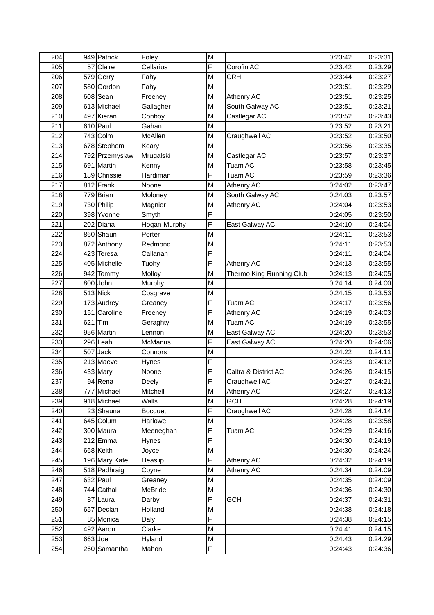| 204 | 949 Patrick       | Foley          | M              |                          | 0:23:42 | 0:23:31 |
|-----|-------------------|----------------|----------------|--------------------------|---------|---------|
| 205 | 57 Claire         | Cellarius      | F              | Corofin AC               | 0:23:42 | 0:23:29 |
| 206 | 579 Gerry         | Fahy           | М              | <b>CRH</b>               | 0:23:44 | 0:23:27 |
| 207 | 580 Gordon        | Fahy           | М              |                          | 0:23:51 | 0:23:29 |
| 208 | $608$ Sean        | Freeney        | M              | Athenry AC               | 0:23:51 | 0:23:25 |
| 209 | 613 Michael       | Gallagher      | М              | South Galway AC          | 0:23:51 | 0:23:21 |
| 210 | 497 Kieran        | Conboy         | М              | Castlegar AC             | 0:23:52 | 0:23:43 |
| 211 | $610$ Paul        | Gahan          | М              |                          | 0:23:52 | 0:23:21 |
| 212 | $743$ Colm        | McAllen        | M              | Craughwell AC            | 0:23:52 | 0:23:50 |
| 213 | 678 Stephem       | Keary          | M              |                          | 0:23:56 | 0:23:35 |
| 214 | 792 Przemyslaw    | Mrugalski      | M              | Castlegar AC             | 0:23:57 | 0:23:37 |
| 215 | 691 Martin        | Kenny          | M              | Tuam AC                  | 0:23:58 | 0:23:45 |
| 216 | 189 Chrissie      | Hardiman       | F              | Tuam AC                  | 0:23:59 | 0:23:36 |
| 217 | $812$ Frank       | Noone          | M              | Athenry AC               | 0:24:02 | 0:23:47 |
| 218 | $779$ Brian       | Moloney        | M              | South Galway AC          | 0:24:03 | 0:23:57 |
| 219 | 730 Philip        | Magnier        | М              | Athenry AC               | 0:24:04 | 0:23:53 |
| 220 | 398 Yvonne        | Smyth          | F              |                          | 0:24:05 | 0:23:50 |
| 221 | 202 Diana         | Hogan-Murphy   | F              | East Galway AC           | 0:24:10 | 0:24:04 |
| 222 | 860 Shaun         | Porter         | M              |                          | 0:24:11 | 0:23:53 |
| 223 | 872 Anthony       | Redmond        | М              |                          | 0:24:11 | 0:23:53 |
| 224 | 423 Teresa        | Callanan       | F              |                          | 0:24:11 | 0:24:04 |
| 225 | 405 Michelle      | Tuohy          | F              | Athenry AC               | 0:24:13 | 0:23:55 |
| 226 | 942 Tommy         | Molloy         | M              | Thermo King Running Club | 0:24:13 | 0:24:05 |
| 227 | $800$ John        | Murphy         | M              |                          | 0:24:14 | 0:24:00 |
| 228 | $513$ Nick        | Cosgrave       | M              |                          | 0:24:15 | 0:23:53 |
| 229 | 173 Audrey        | Greaney        | F              | Tuam AC                  | 0:24:17 | 0:23:56 |
| 230 | 151 Caroline      | Freeney        | F              | Athenry AC               | 0:24:19 | 0:24:03 |
| 231 | $621$ Tim         | Geraghty       | М              | Tuam AC                  | 0:24:19 | 0:23:55 |
| 232 | 956 Martin        | Lennon         | M              | East Galway AC           | 0:24:20 | 0:23:53 |
| 233 | $296$  Leah       | <b>McManus</b> | F              | East Galway AC           | 0:24:20 | 0:24:06 |
| 234 | $507$ Jack        | Connors        | M              |                          | 0:24:22 | 0:24:11 |
| 235 | $213$ Maeve       | Hynes          | F              |                          | 0:24:23 | 0:24:12 |
| 236 | $433$ Mary        | Noone          | F              | Caltra & District AC     | 0:24:26 | 0:24:15 |
| 237 | $94$ Rena         | Deely          | $\overline{F}$ | Craughwell AC            | 0:24:27 | 0:24:21 |
| 238 | 777 Michael       | Mitchell       | Μ              | Athenry AC               | 0:24:27 | 0:24:13 |
| 239 | 918 Michael       | <b>Walls</b>   | М              | <b>GCH</b>               | 0:24:28 | 0:24:19 |
| 240 | 23 Shauna         | <b>Bocquet</b> | F              | Craughwell AC            | 0:24:28 | 0:24:14 |
| 241 | 645 Colum         | Harlowe        | М              |                          | 0:24:28 | 0:23:58 |
| 242 | 300 Maura         | Meeneghan      | F              | Tuam AC                  | 0:24:29 | 0:24:16 |
| 243 | $212$ <i>Emma</i> | Hynes          | F              |                          | 0:24:30 | 0:24:19 |
| 244 | $668$ Keith       | Joyce          | Μ              |                          | 0:24:30 | 0:24:24 |
| 245 | 196 Mary Kate     | Heaslip        | F              | Athenry AC               | 0:24:32 | 0:24:19 |
| 246 | 518 Padhraig      | Coyne          | М              | Athenry AC               | 0:24:34 | 0:24:09 |
| 247 | $632$ Paul        | Greaney        | Μ              |                          | 0:24:35 | 0:24:09 |
| 248 | $744$ Cathal      | McBride        | Μ              |                          | 0:24:36 | 0:24:30 |
| 249 | 87 Laura          | Darby          | F              | <b>GCH</b>               | 0:24:37 | 0:24:31 |
| 250 | 657 Declan        | Holland        | Μ              |                          | 0:24:38 | 0:24:18 |
| 251 | 85 Monica         | Daly           | F              |                          | 0:24:38 | 0:24:15 |
| 252 | $492$ Aaron       | Clarke         | Μ              |                          | 0:24:41 | 0:24:15 |
| 253 | $663$ Joe         | Hyland         | Μ              |                          | 0:24:43 | 0:24:29 |
| 254 | 260 Samantha      | Mahon          | F              |                          | 0:24:43 | 0:24:36 |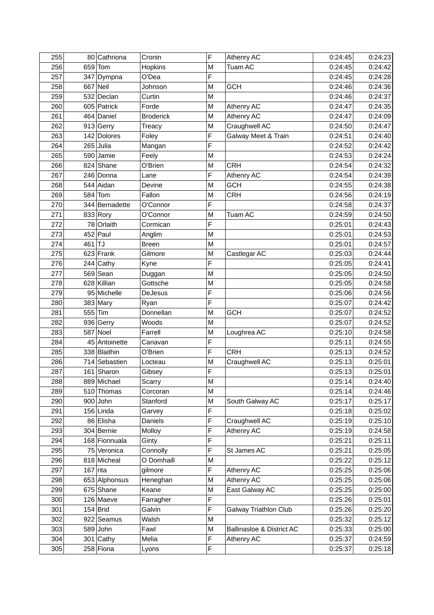| 255 |          | 80 Cathriona   | Cronin           | F | Athenry AC                   | 0:24:45 | 0:24:23 |
|-----|----------|----------------|------------------|---|------------------------------|---------|---------|
| 256 |          | $659$ Tom      | <b>Hopkins</b>   | M | Tuam AC                      | 0:24:45 | 0:24:42 |
| 257 |          | 347 Dympna     | O'Dea            | F |                              | 0:24:45 | 0:24:28 |
| 258 |          | $667$ Neil     | Johnson          | М | <b>GCH</b>                   | 0:24:46 | 0:24:36 |
| 259 |          | 532 Declan     | Curtin           | M |                              | 0:24:46 | 0:24:37 |
| 260 |          | 605 Patrick    | Forde            | M | Athenry AC                   | 0:24:47 | 0:24:35 |
| 261 |          | 464 Daniel     | <b>Broderick</b> | M | Athenry AC                   | 0:24:47 | 0:24:09 |
| 262 |          | $913$ Gerry    | Treacy           | M | Craughwell AC                | 0:24:50 | 0:24:47 |
| 263 |          | 142 Dolores    | Foley            | F | Galway Meet & Train          | 0:24:51 | 0:24:40 |
| 264 |          | $265$ Julia    | Mangan           | F |                              | 0:24:52 | 0:24:42 |
| 265 |          | 590 Jamie      | Feely            | M |                              | 0:24:53 | 0:24:24 |
| 266 |          | 824 Shane      | O'Brien          | M | <b>CRH</b>                   | 0:24:54 | 0:24:32 |
| 267 |          | 246 Donna      | Lane             | F | Athenry AC                   | 0:24:54 | 0:24:39 |
| 268 |          | 544 Aidan      | Devine           | M | <b>GCH</b>                   | 0:24:55 | 0:24:38 |
| 269 |          | $584$ Tom      | Fallon           | Μ | <b>CRH</b>                   | 0:24:56 | 0:24:19 |
| 270 |          | 344 Bernadette | O'Connor         | F |                              | 0:24:58 | 0:24:37 |
| 271 |          | $833$ Rory     | O'Connor         | M | Tuam AC                      | 0:24:59 | 0:24:50 |
| 272 |          | 78 Orlaith     | Cormican         | F |                              | 0:25:01 | 0:24:43 |
| 273 |          | $452$ Paul     | Anglim           | М |                              | 0:25:01 | 0:24:53 |
| 274 | $461$ TJ |                | <b>Breen</b>     | М |                              | 0:25:01 | 0:24:57 |
| 275 |          | $623$ Frank    | Gilmore          | M | Castlegar AC                 | 0:25:03 | 0:24:44 |
| 276 |          | 244 Cathy      | Kyne             | F |                              | 0:25:05 | 0:24:41 |
| 277 |          | $569$ Sean     | Duggan           | М |                              | 0:25:05 | 0:24:50 |
| 278 |          | 628 Killian    | Gottsche         | М |                              | 0:25:05 | 0:24:58 |
| 279 |          | 95 Michelle    | DeJesus          | F |                              | 0:25:06 | 0:24:56 |
| 280 |          | $383$ Mary     | Ryan             | F |                              | 0:25:07 | 0:24:42 |
| 281 |          | $555$ Tim      | Donnellan        | M | <b>GCH</b>                   | 0:25:07 | 0:24:52 |
| 282 |          | 936 Gerry      | Woods            | М |                              | 0:25:07 | 0:24:52 |
| 283 |          | $587$ Noel     | Farrell          | М | Loughrea AC                  | 0:25:10 | 0:24:58 |
| 284 |          | 45 Antoinette  | Canavan          | F |                              | 0:25:11 | 0:24:55 |
| 285 |          | 338 Blaithin   | O'Brien          | F | <b>CRH</b>                   | 0:25:13 | 0:24:52 |
| 286 |          | 714 Sebastien  | Locteau          | M | Craughwell AC                | 0:25:13 | 0:25:01 |
| 287 |          | 161 Sharon     | Gibsey           | F |                              | 0:25:13 | 0:25:01 |
| 288 |          | 889 Michael    | Scarry           | M |                              | 0:25:14 | 0:24:40 |
| 289 |          | 510 Thomas     | Corcoran         | М |                              | 0:25:14 | 0:24:46 |
| 290 |          | $900$ John     | Stanford         | Μ | South Galway AC              | 0:25:17 | 0:25:17 |
| 291 |          | $156$ Linda    | Garvey           | F |                              | 0:25:18 | 0:25:02 |
| 292 |          | 86 Elisha      | Daniels          | F | Craughwell AC                | 0:25:19 | 0:25:10 |
| 293 |          | 304 Bernie     | Molloy           | F | Athenry AC                   | 0:25:19 | 0:24:58 |
| 294 |          | 168 Fionnuala  | Ginty            | F |                              | 0:25:21 | 0:25:11 |
| 295 |          | 75 Veronica    | Connolly         | F | St James AC                  | 0:25:21 | 0:25:05 |
| 296 |          | 818 Micheal    | O Domhaill       | M |                              | 0:25:22 | 0:25:12 |
| 297 |          | $167$ rita     | gilmore          | F | Athenry AC                   | 0:25:25 | 0:25:06 |
| 298 |          | 653 Alphonsus  | Heneghan         | M | Athenry AC                   | 0:25:25 | 0:25:06 |
| 299 |          | 675 Shane      | Keane            | Μ | East Galway AC               | 0:25:25 | 0:25:00 |
| 300 |          | 126 Maeve      | Farragher        | F |                              | 0:25:26 | 0:25:01 |
| 301 |          | $154$ Brid     | Galvin           | F | <b>Galway Triathlon Club</b> | 0:25:26 | 0:25:20 |
| 302 |          | 922 Seamus     | Walsh            | M |                              | 0:25:32 | 0:25:12 |
| 303 |          | $589$ John     | Fawl             | М | Ballinasloe & District AC    | 0:25:33 | 0:25:00 |
| 304 |          | $301$ Cathy    | Melia            | F | Athenry AC                   | 0:25:37 | 0:24:59 |
| 305 |          | 258 Fiona      | Lyons            | F |                              | 0:25:37 | 0:25:18 |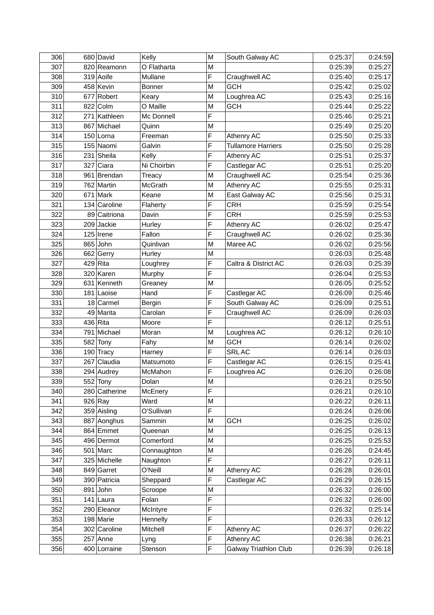| 306 | 680 David     | Kelly         | M | South Galway AC           | 0:25:37 | 0:24:59 |
|-----|---------------|---------------|---|---------------------------|---------|---------|
| 307 | 820 Reamonn   | O Flatharta   | M |                           | 0:25:39 | 0:25:27 |
| 308 | 319 Aoife     | Mullane       | F | Craughwell AC             | 0:25:40 | 0:25:17 |
| 309 | 458 Kevin     | <b>Bonner</b> | M | <b>GCH</b>                | 0:25:42 | 0:25:02 |
| 310 | 677 Robert    | Keary         | M | Loughrea AC               | 0:25:43 | 0:25:16 |
| 311 | 822 Colm      | O Maille      | M | <b>GCH</b>                | 0:25:44 | 0:25:22 |
| 312 | 271 Kathleen  | Mc Donnell    | F |                           | 0:25:46 | 0:25:21 |
| 313 | 867 Michael   | Quinn         | M |                           | 0:25:49 | 0:25:20 |
| 314 | $150$ Lorna   | Freeman       | F | Athenry AC                | 0:25:50 | 0:25:33 |
| 315 | 155 Naomi     | Galvin        | F | <b>Tullamore Harriers</b> | 0:25:50 | 0:25:28 |
| 316 | $231$ Sheila  | Kelly         | F | Athenry AC                | 0:25:51 | 0:25:37 |
| 317 | 327 Ciara     | Ni Choirbin   | F | Castlegar AC              | 0:25:51 | 0:25:20 |
| 318 | 961 Brendan   | Treacy        | M | Craughwell AC             | 0:25:54 | 0:25:36 |
| 319 | 762 Martin    | McGrath       | M | Athenry AC                | 0:25:55 | 0:25:31 |
| 320 | $671$ Mark    | Keane         | M | East Galway AC            | 0:25:56 | 0:25:31 |
| 321 | 134 Caroline  | Flaherty      | F | <b>CRH</b>                | 0:25:59 | 0:25:54 |
| 322 | 89 Caitriona  | Davin         | F | <b>CRH</b>                | 0:25:59 | 0:25:53 |
| 323 | 209 Jackie    | Hurley        | F | Athenry AC                | 0:26:02 | 0:25:47 |
| 324 | $125$ Irene   | Fallon        | F | Craughwell AC             | 0:26:02 | 0:25:36 |
| 325 | 865 John      | Quinlivan     | M | Maree AC                  | 0:26:02 | 0:25:56 |
| 326 | 662 Gerry     | Hurley        | M |                           | 0:26:03 | 0:25:48 |
| 327 | $429$ Rita    | Loughrey      | F | Caltra & District AC      | 0:26:03 | 0:25:39 |
| 328 | 320 Karen     | Murphy        | F |                           | 0:26:04 | 0:25:53 |
| 329 | 631 Kenneth   | Greaney       | M |                           | 0:26:05 | 0:25:52 |
| 330 | $181$ Laoise  | Hand          | F | Castlegar AC              | 0:26:09 | 0:25:46 |
| 331 | $18$ Carmel   | Bergin        | F | South Galway AC           | 0:26:09 | 0:25:51 |
| 332 | 49 Marita     | Carolan       | F | Craughwell AC             | 0:26:09 | 0:26:03 |
| 333 | $436$ Rita    | Moore         | F |                           | 0:26:12 | 0:25:51 |
| 334 | 791 Michael   | Moran         | M | Loughrea AC               | 0:26:12 | 0:26:10 |
| 335 | 582 Tony      | Fahy          | M | <b>GCH</b>                | 0:26:14 | 0:26:02 |
| 336 | $190$ Tracy   | Harney        | F | SRL AC                    | 0:26:14 | 0:26:03 |
| 337 | 267 Claudia   | Matsumoto     | F | Castlegar AC              | 0:26:15 | 0:25:41 |
| 338 | 294 Audrey    | McMahon       | F | Loughrea AC               | 0:26:20 | 0:26:08 |
| 339 | $552$ Tony    | Dolan         | M |                           | 0:26:21 | 0:25:50 |
| 340 | 280 Catherine | McEnery       | F |                           | 0:26:21 | 0:26:10 |
| 341 | $926$ Ray     | Ward          | M |                           | 0:26:22 | 0:26:11 |
| 342 | 359 Aisling   | O'Sullivan    | F |                           | 0:26:24 | 0:26:06 |
| 343 | 887 Aonghus   | Sammin        | M | <b>GCH</b>                | 0:26:25 | 0:26:02 |
| 344 | 864 Emmet     | Queenan       | M |                           | 0:26:25 | 0:26:13 |
| 345 | 496 Dermot    | Comerford     | M |                           | 0:26:25 | 0:25:53 |
| 346 | $501$ Marc    | Connaughton   | M |                           | 0:26:26 | 0:24:45 |
| 347 | 325 Michelle  | Naughton      | F |                           | 0:26:27 | 0:26:11 |
| 348 | 849 Garret    | O'Neill       | M | Athenry AC                | 0:26:28 | 0:26:01 |
| 349 | 390 Patricia  | Sheppard      | F | Castlegar AC              | 0:26:29 | 0:26:15 |
| 350 | $891$ John    | Scroope       | M |                           | 0:26:32 | 0:26:00 |
| 351 | $141$  Laura  | Folan         | F |                           | 0:26:32 | 0:26:00 |
| 352 | 290 Eleanor   | McIntyre      | F |                           | 0:26:32 | 0:25:14 |
| 353 | 198 Marie     | Hennelly      | F |                           | 0:26:33 | 0:26:12 |
| 354 | 302 Caroline  | Mitchell      | F | Athenry AC                | 0:26:37 | 0:26:22 |
| 355 | $257$ Anne    | Lyng          | F | Athenry AC                | 0:26:38 | 0:26:21 |
| 356 | 400 Lorraine  | Stenson       | F | Galway Triathlon Club     | 0:26:39 | 0:26:18 |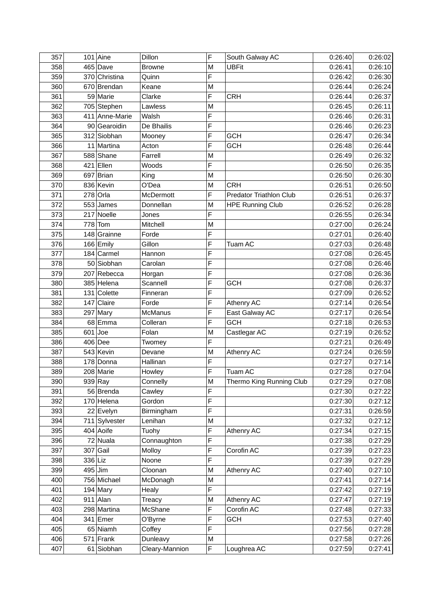| 357 |         | $101$ Aine           | Dillon         | F            | South Galway AC                | 0:26:40 | 0:26:02 |
|-----|---------|----------------------|----------------|--------------|--------------------------------|---------|---------|
| 358 |         | $465$ Dave           | <b>Browne</b>  | M            | <b>UBFit</b>                   | 0:26:41 | 0:26:10 |
| 359 |         | 370 Christina        | Quinn          | F            |                                | 0:26:42 | 0:26:30 |
| 360 |         | 670 Brendan          | Keane          | M            |                                | 0:26:44 | 0:26:24 |
| 361 |         | 59 Marie             | Clarke         | F            | <b>CRH</b>                     | 0:26:44 | 0:26:37 |
| 362 |         | 705 Stephen          | Lawless        | M            |                                | 0:26:45 | 0:26:11 |
| 363 |         | 411 Anne-Marie       | Walsh          | F            |                                | 0:26:46 | 0:26:31 |
| 364 |         | 90 Gearoidin         | De Bhailis     | F            |                                | 0:26:46 | 0:26:23 |
| 365 |         | 312 Siobhan          | Mooney         | F            | <b>GCH</b>                     | 0:26:47 | 0:26:34 |
| 366 |         | 11 Martina           | Acton          | F            | GCH                            | 0:26:48 | 0:26:44 |
| 367 |         | 588 Shane            | Farrell        | M            |                                | 0:26:49 | 0:26:32 |
| 368 |         | $421$ Ellen          | Woods          | F            |                                | 0:26:50 | 0:26:35 |
| 369 |         | $697$ Brian          | King           | M            |                                | 0:26:50 | 0:26:30 |
| 370 |         | 836 Kevin            | O'Dea          | M            | <b>CRH</b>                     | 0:26:51 | 0:26:50 |
| 371 |         | $278$ Orla           | McDermott      | F            | <b>Predator Triathlon Club</b> | 0:26:51 | 0:26:37 |
| 372 |         | $553$ James          | Donnellan      | M            | <b>HPE Running Club</b>        | 0:26:52 | 0:26:28 |
| 373 |         | 217 Noelle           | Jones          | F            |                                | 0:26:55 | 0:26:34 |
| 374 |         | $778$ Tom            | Mitchell       | M            |                                | 0:27:00 | 0:26:24 |
| 375 |         | $148$ Grainne        | Forde          | F            |                                | 0:27:01 | 0:26:40 |
| 376 |         | 166 Emily            | Gillon         | F            | <b>Tuam AC</b>                 | 0:27:03 | 0:26:48 |
| 377 |         | $184$ Carmel         | Hannon         | F            |                                | 0:27:08 | 0:26:45 |
| 378 |         | 50 Siobhan           | Carolan        | F            |                                | 0:27:08 | 0:26:46 |
| 379 |         | 207 Rebecca          | Horgan         | F            |                                | 0:27:08 | 0:26:36 |
| 380 |         | 385 Helena           | Scannell       | F            | <b>GCH</b>                     | 0:27:08 | 0:26:37 |
| 381 |         | 131 Colette          | Finneran       | F            |                                | 0:27:09 | 0:26:52 |
| 382 |         | $147$ Claire         | Forde          | F            | Athenry AC                     | 0:27:14 | 0:26:54 |
| 383 |         | $297$ Mary           | <b>McManus</b> | F            | East Galway AC                 | 0:27:17 | 0:26:54 |
| 384 |         | 68 Emma              | Colleran       | F            | <b>GCH</b>                     | 0:27:18 | 0:26:53 |
| 385 |         | $601$ Joe            | Folan          | M            | Castlegar AC                   | 0:27:19 | 0:26:52 |
| 386 |         | $406$ Dee            | Twomey         | F            |                                | 0:27:21 | 0:26:49 |
| 387 |         | 543 Kevin            | Devane         | M            | Athenry AC                     | 0:27:24 | 0:26:59 |
| 388 |         | 178 Donna            | Hallinan       | F            |                                | 0:27:27 | 0:27:14 |
| 389 |         | 208 Marie            | Howley         | F            | Tuam AC                        | 0:27:28 | 0:27:04 |
| 390 |         | $939$ <sub>Ray</sub> | Connelly       | $\mathsf{M}$ | Thermo King Running Club       | 0:27:29 | 0:27:08 |
| 391 |         | 56 Brenda            | Cawley         | F            |                                | 0:27:30 | 0:27:22 |
| 392 |         | $170$ Helena         | Gordon         | F            |                                | 0:27:30 | 0:27:12 |
| 393 |         | 22 Evelyn            | Birmingham     | F            |                                | 0:27:31 | 0:26:59 |
| 394 |         | 711 Sylvester        | Lenihan        | M            |                                | 0:27:32 | 0:27:12 |
| 395 |         | $404$ Aoife          | Tuohy          | F            | Athenry AC                     | 0:27:34 | 0:27:15 |
| 396 |         | 72 Nuala             | Connaughton    | F            |                                | 0:27:38 | 0:27:29 |
| 397 |         | $307$ Gail           | Molloy         | F            | Corofin AC                     | 0:27:39 | 0:27:23 |
| 398 | 336 Liz |                      | Noone          | F            |                                | 0:27:39 | 0:27:29 |
| 399 |         | $495$ Jim            | Cloonan        | M            | Athenry AC                     | 0:27:40 | 0:27:10 |
| 400 |         | 756 Michael          | McDonagh       | M            |                                | 0:27:41 | 0:27:14 |
| 401 |         | $194$ Mary           | Healy          | F            |                                | 0:27:42 | 0:27:19 |
| 402 |         | $911$ Alan           | Treacy         | M            | Athenry AC                     | 0:27:47 | 0:27:19 |
| 403 |         | 298 Martina          | McShane        | F            | Corofin AC                     | 0:27:48 | 0:27:33 |
| 404 |         | $341$ Emer           | O'Byrne        | F            | <b>GCH</b>                     | 0:27:53 | 0:27:40 |
| 405 |         | 65 Niamh             | Coffey         | F            |                                | 0:27:56 | 0:27:28 |
| 406 |         | $571$ Frank          | Dunleavy       | M            |                                | 0:27:58 | 0:27:26 |
| 407 |         | 61 Siobhan           | Cleary-Mannion | F            | Loughrea AC                    | 0:27:59 | 0:27:41 |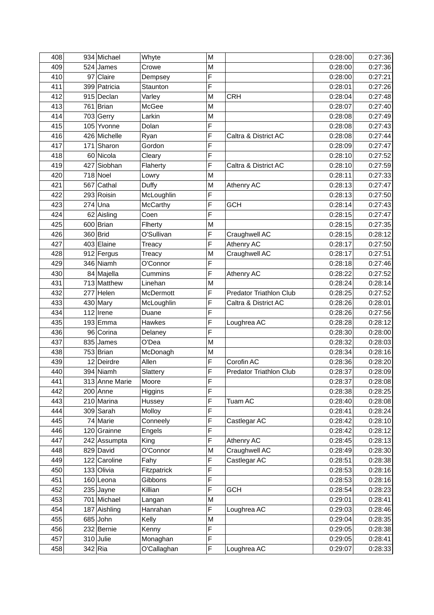| 408 | 934 Michael    | Whyte       | M |                                | 0:28:00 | 0:27:36 |
|-----|----------------|-------------|---|--------------------------------|---------|---------|
| 409 | 524 James      | Crowe       | M |                                | 0:28:00 | 0:27:36 |
| 410 | 97 Claire      | Dempsey     | F |                                | 0:28:00 | 0:27:21 |
| 411 | 399 Patricia   | Staunton    | F |                                | 0:28:01 | 0:27:26 |
| 412 | $915$ Declan   | Varley      | M | <b>CRH</b>                     | 0:28:04 | 0:27:48 |
| 413 | $761$ Brian    | McGee       | M |                                | 0:28:07 | 0:27:40 |
| 414 | $703$ Gerry    | Larkin      | M |                                | 0:28:08 | 0:27:49 |
| 415 | 105 Yvonne     | Dolan       | F |                                | 0:28:08 | 0:27:43 |
| 416 | 426 Michelle   | Ryan        | F | Caltra & District AC           | 0:28:08 | 0:27:44 |
| 417 | 171 Sharon     | Gordon      | F |                                | 0:28:09 | 0:27:47 |
| 418 | 60 Nicola      | Cleary      | F |                                | 0:28:10 | 0:27:52 |
| 419 | 427 Siobhan    | Flaherty    | F | Caltra & District AC           | 0:28:10 | 0:27:59 |
| 420 | $718$ Noel     | Lowry       | M |                                | 0:28:11 | 0:27:33 |
| 421 | $567$ Cathal   | Duffy       | M | Athenry AC                     | 0:28:13 | 0:27:47 |
| 422 | 293 Roisin     | McLoughlin  | F |                                | 0:28:13 | 0:27:50 |
| 423 | $274$ Una      | McCarthy    | F | <b>GCH</b>                     | 0:28:14 | 0:27:43 |
| 424 | 62 Aisling     | Coen        | F |                                | 0:28:15 | 0:27:47 |
| 425 | $600$ Brian    | Flherty     | M |                                | 0:28:15 | 0:27:35 |
| 426 | 360 Brid       | O'Sullivan  | F | Craughwell AC                  | 0:28:15 | 0:28:12 |
| 427 | 403 Elaine     | Treacy      | F | Athenry AC                     | 0:28:17 | 0:27:50 |
| 428 | 912 Fergus     | Treacy      | M | Craughwell AC                  | 0:28:17 | 0:27:51 |
| 429 | 346 Niamh      | O'Connor    | F |                                | 0:28:18 | 0:27:46 |
| 430 | 84 Majella     | Cummins     | F | Athenry AC                     | 0:28:22 | 0:27:52 |
| 431 | 713 Matthew    | Linehan     | M |                                | 0:28:24 | 0:28:14 |
| 432 | $277$ Helen    | McDermott   | F | <b>Predator Triathlon Club</b> | 0:28:25 | 0:27:52 |
| 433 | $430$ Mary     | McLoughlin  | F | Caltra & District AC           | 0:28:26 | 0:28:01 |
| 434 | $112$ Irene    | Duane       | F |                                | 0:28:26 | 0:27:56 |
| 435 | $193$ Emma     | Hawkes      | F | Loughrea AC                    | 0:28:28 | 0:28:12 |
| 436 | 96 Corina      | Delaney     | F |                                | 0:28:30 | 0:28:00 |
| 437 | 835 James      | O'Dea       | M |                                | 0:28:32 | 0:28:03 |
| 438 | $753$ Brian    | McDonagh    | M |                                | 0:28:34 | 0:28:16 |
| 439 | 12 Deirdre     | Allen       | F | Corofin AC                     | 0:28:36 | 0:28:20 |
| 440 | 394 Niamh      | Slattery    | F | Predator Triathlon Club        | 0:28:37 | 0:28:09 |
| 441 | 313 Anne Marie | Moore       | F |                                | 0:28:37 | 0:28:08 |
| 442 | $200$ Anne     | Higgins     | F |                                | 0:28:38 | 0:28:25 |
| 443 | 210 Marina     | Hussey      | F | Tuam AC                        | 0:28:40 | 0:28:08 |
| 444 | $309$ Sarah    | Molloy      | F |                                | 0:28:41 | 0:28:24 |
| 445 | 74 Marie       | Conneely    | F | Castlegar AC                   | 0:28:42 | 0:28:10 |
| 446 | 120 Grainne    | Engels      | F |                                | 0:28:42 | 0:28:12 |
| 447 | 242 Assumpta   | King        | F | Athenry AC                     | 0:28:45 | 0:28:13 |
| 448 | 829 David      | O'Connor    | M | Craughwell AC                  | 0:28:49 | 0:28:30 |
| 449 | 122 Caroline   | Fahy        | F | Castlegar AC                   | 0:28:51 | 0:28:38 |
| 450 | 133 Olivia     | Fitzpatrick | F |                                | 0:28:53 | 0:28:16 |
| 451 | $160$  Leona   | Gibbons     | F |                                | 0:28:53 | 0:28:16 |
| 452 | $235$ Jayne    | Killian     | F | <b>GCH</b>                     | 0:28:54 | 0:28:23 |
| 453 | 701 Michael    | Langan      | M |                                | 0:29:01 | 0:28:41 |
| 454 | $187$ Aishling | Hanrahan    | F | Loughrea AC                    | 0:29:03 | 0:28:46 |
| 455 | $685$ John     | Kelly       | M |                                | 0:29:04 | 0:28:35 |
| 456 | 232 Bernie     | Kenny       | F |                                | 0:29:05 | 0:28:38 |
| 457 | $310$ Julie    | Monaghan    | F |                                | 0:29:05 | 0:28:41 |
| 458 | $342$ Ria      | O'Callaghan | F | Loughrea AC                    | 0:29:07 | 0:28:33 |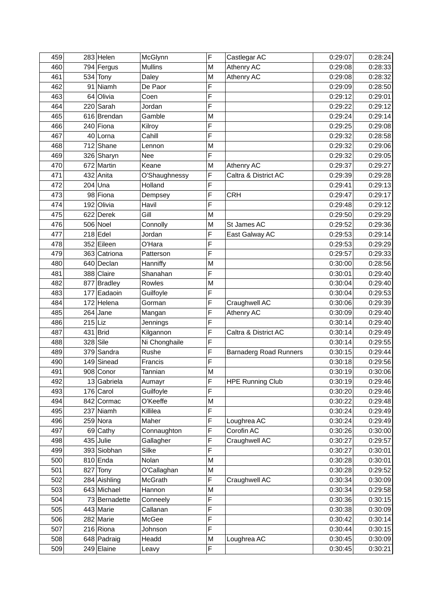| 459 |           | $283$ Helen   | McGlynn        | F              | Castlegar AC                  | 0:29:07 | 0:28:24 |
|-----|-----------|---------------|----------------|----------------|-------------------------------|---------|---------|
| 460 |           | 794 Fergus    | <b>Mullins</b> | M              | Athenry AC                    | 0:29:08 | 0:28:33 |
| 461 |           | $534$ Tony    | Daley          | M              | Athenry AC                    | 0:29:08 | 0:28:32 |
| 462 |           | 91 Niamh      | De Paor        | F              |                               | 0:29:09 | 0:28:50 |
| 463 |           | $64$ Olivia   | Coen           | F              |                               | 0:29:12 | 0:29:01 |
| 464 |           | $220$ Sarah   | Jordan         | F              |                               | 0:29:22 | 0:29:12 |
| 465 |           | 616 Brendan   | Gamble         | M              |                               | 0:29:24 | 0:29:14 |
| 466 |           | $240$ Fiona   | Kilroy         | F              |                               | 0:29:25 | 0:29:08 |
| 467 |           | 40 Lorna      | Cahill         | F              |                               | 0:29:32 | 0:28:58 |
| 468 |           | $712$ Shane   | Lennon         | M              |                               | 0:29:32 | 0:29:06 |
| 469 |           | 326 Sharyn    | Nee            | F              |                               | 0:29:32 | 0:29:05 |
| 470 |           | 672 Martin    | Keane          | M              | Athenry AC                    | 0:29:37 | 0:29:27 |
| 471 |           | 432 Anita     | O'Shaughnessy  | F              | Caltra & District AC          | 0:29:39 | 0:29:28 |
| 472 |           | $204$ Una     | Holland        | F              |                               | 0:29:41 | 0:29:13 |
| 473 |           | 98 Fiona      | Dempsey        | F              | <b>CRH</b>                    | 0:29:47 | 0:29:17 |
| 474 |           | 192 Olivia    | Havil          | F              |                               | 0:29:48 | 0:29:12 |
| 475 |           | $622$ Derek   | Gill           | M              |                               | 0:29:50 | 0:29:29 |
| 476 |           | $506$ Noel    | Connolly       | M              | St James AC                   | 0:29:52 | 0:29:36 |
| 477 |           | $218$ Edel    | Jordan         | F              | East Galway AC                | 0:29:53 | 0:29:14 |
| 478 |           | 352 Eileen    | O'Hara         | F              |                               | 0:29:53 | 0:29:29 |
| 479 |           | 363 Catriona  | Patterson      | F              |                               | 0:29:57 | 0:29:33 |
| 480 |           | 640 Declan    | Hanniffy       | M              |                               | 0:30:00 | 0:28:56 |
| 481 |           | 388 Claire    | Shanahan       | F              |                               | 0:30:01 | 0:29:40 |
| 482 |           | 877 Bradley   | Rowles         | M              |                               | 0:30:04 | 0:29:40 |
| 483 |           | 177 Eadaoin   | Guilfoyle      | F              |                               | 0:30:04 | 0:29:53 |
| 484 |           | 172 Helena    | Gorman         | F              | Craughwell AC                 | 0:30:06 | 0:29:39 |
| 485 |           | $264$ Jane    | Mangan         | F              | Athenry AC                    | 0:30:09 | 0:29:40 |
| 486 | $215$ Liz |               | Jennings       | F              |                               | 0:30:14 | 0:29:40 |
| 487 |           | $431$ Brid    | Kilgannon      | F              | Caltra & District AC          | 0:30:14 | 0:29:49 |
| 488 |           | $328$ Sile    | Ni Chonghaile  | F              |                               | 0:30:14 | 0:29:55 |
| 489 |           | 379 Sandra    | Rushe          | F              | <b>Barnaderg Road Runners</b> | 0:30:15 | 0:29:44 |
| 490 |           | 149 Sinead    | Francis        | F              |                               | 0:30:18 | 0:29:56 |
| 491 |           | 908 Conor     | Tannian        | M              |                               | 0:30:19 | 0:30:06 |
| 492 |           | $13$ Gabriela | Aumayr         | $\overline{F}$ | <b>HPE Running Club</b>       | 0:30:19 | 0:29:46 |
| 493 |           | $176$ Carol   | Guilfoyle      | F              |                               | 0:30:20 | 0:29:46 |
| 494 |           | 842 Cormac    | O'Keeffe       | M              |                               | 0:30:22 | 0:29:48 |
| 495 |           | $237$ Niamh   | Killilea       | F              |                               | 0:30:24 | 0:29:49 |
| 496 |           | $259$ Nora    | Maher          | F              | Loughrea AC                   | 0:30:24 | 0:29:49 |
| 497 |           | $69$ Cathy    | Connaughton    | F              | Corofin AC                    | 0:30:26 | 0:30:00 |
| 498 |           | $435$ Julie   | Gallagher      | F              | Craughwell AC                 | 0:30:27 | 0:29:57 |
| 499 |           | 393 Siobhan   | Silke          | F              |                               | 0:30:27 | 0:30:01 |
| 500 |           | $810$ Enda    | Nolan          | M              |                               | 0:30:28 | 0:30:01 |
| 501 |           | $827$ Tony    | O'Callaghan    | M              |                               | 0:30:28 | 0:29:52 |
| 502 |           | 284 Aishling  | McGrath        | F              | Craughwell AC                 | 0:30:34 | 0:30:09 |
| 503 |           | 643 Michael   | Hannon         | M              |                               | 0:30:34 | 0:29:58 |
| 504 |           | 73 Bernadette | Conneely       | F              |                               | 0:30:36 | 0:30:15 |
| 505 |           | 443 Marie     | Callanan       | F              |                               | 0:30:38 | 0:30:09 |
| 506 |           | 282 Marie     | McGee          | F              |                               | 0:30:42 | 0:30:14 |
| 507 |           | $216$ Riona   | Johnson        | F              |                               | 0:30:44 | 0:30:15 |
| 508 |           | 648 Padraig   | Headd          | M              | Loughrea AC                   | 0:30:45 | 0:30:09 |
| 509 |           | $249$ Elaine  | Leavy          | F              |                               | 0:30:45 | 0:30:21 |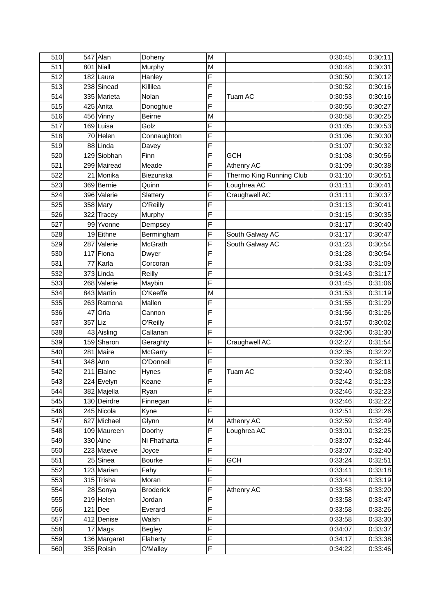| $801$ Niall<br>511<br>Murphy<br>0:30:48<br>M<br>F<br>512<br>182 Laura<br>Hanley<br>0:30:50<br>F<br>238 Sinead<br>Killilea<br>0:30:52<br>513<br>F<br>514<br>335 Marieta<br>Nolan<br>Tuam AC<br>0:30:53<br>F<br>425 Anita<br>0:30:55<br>515<br>Donoghue<br>516<br><b>Beirne</b><br>0:30:58<br>456 Vinny<br>M<br>F<br>Golz<br>517<br>$169$ Luisa<br>0:31:05<br>F<br>518<br>70 Helen<br>Connaughton<br>0:31:06<br>F<br>88 Linda<br>519<br>0:31:07<br>Davey<br>F<br>520<br>129 Siobhan<br><b>GCH</b><br>Finn<br>0:31:08<br>F<br>299 Mairead<br>521<br>Meade<br>Athenry AC<br>0:31:09<br>F<br>522<br>21 Monika<br>Thermo King Running Club<br>0:31:10<br>Biezunska<br>F<br>Loughrea AC<br>523<br>369 Bernie<br>0:31:11<br>Quinn<br>F<br>524<br>Craughwell AC<br>396 Valerie<br>Slattery<br>0:31:11<br>F<br>525<br>$358$ Mary<br>O'Reilly<br>0:31:13<br>F<br>322 Tracey<br>0:31:15<br>526<br>Murphy<br>F<br>527<br>99 Yvonne<br>0:31:17<br>Dempsey<br>F<br>528<br>19 Eithne<br>Bermingham<br>South Galway AC<br>0:31:17<br>287 Valerie<br>F<br>South Galway AC<br>529<br>McGrath<br>0:31:23<br>F<br>$117$ Fiona<br>0:31:28<br>530<br>Dwyer<br>F<br>531<br>77 Karla<br>0:31:33<br>Corcoran<br>F<br>532<br>$373$ Linda<br>Reilly<br>0:31:43<br>F<br>533<br>268 Valerie<br>Maybin<br>0:31:45<br>534<br>843 Martin<br>O'Keeffe<br>0:31:53<br>M<br>F<br>535<br>263 Ramona<br>Mallen<br>0:31:55<br>F<br>$47$ Orla<br>536<br>Cannon<br>0:31:56<br>357 Liz<br>F<br>537<br>O'Reilly<br>0:31:57<br>F<br>43 Aisling<br>Callanan<br>538<br>0:32:06<br>F<br>159 Sharon<br>539<br>Craughwell AC<br>0:32:27<br>Geraghty<br>F<br>281 Maire<br>540<br><b>McGarry</b><br>0:32:35<br>F<br>541<br>$348$ Ann<br>O'Donnell<br>0:32:39<br>F<br>$211$ Elaine<br>Tuam AC<br>0:32:40<br>542<br>Hynes<br>$\overline{F}$<br>224 Evelyn<br>Keane<br>543<br>0:32:42<br>F<br>382 Majella<br>544<br>0:32:46<br>Ryan<br>F<br>130 Deirdre<br>545<br>Finnegan<br>0:32:46<br>F<br>245 Nicola<br>0:32:51<br>546<br>Kyne<br>627 Michael<br>Athenry AC<br>547<br>Glynn<br>M<br>0:32:59<br>F<br>548<br>109 Maureen<br>Doorhy<br>Loughrea AC<br>0:33:01<br>$330$ Aine<br>F<br>0:33:07<br>549<br>Ni Fhatharta<br>F<br>223 Maeve<br>0:33:07<br>550<br>Joyce<br>F<br>551<br>$25$ Sinea<br><b>Bourke</b><br><b>GCH</b><br>0:33:24<br>F<br>552<br>123 Marian<br>Fahy<br>0:33:41<br>F<br>315 Trisha<br>0:33:41<br>553<br>Moran<br>F<br><b>Broderick</b><br>Athenry AC<br>0:33:58<br>554<br>28 Sonya<br>F<br>$219$ Helen<br>555<br>Jordan<br>0:33:58<br>F<br>556<br>$121$ Dee<br>0:33:58<br>Everard<br>F<br>412 Denise<br>557<br>Walsh<br>0:33:58<br>F<br>$17$ Mags<br>0:34:07<br>558<br><b>Begley</b><br>F<br>136 Margaret<br>559<br>Flaherty<br>0:34:17<br>355 Roisin | 510 | $547$ Alan | Doheny   | M | 0:30:45 | 0:30:11 |
|------------------------------------------------------------------------------------------------------------------------------------------------------------------------------------------------------------------------------------------------------------------------------------------------------------------------------------------------------------------------------------------------------------------------------------------------------------------------------------------------------------------------------------------------------------------------------------------------------------------------------------------------------------------------------------------------------------------------------------------------------------------------------------------------------------------------------------------------------------------------------------------------------------------------------------------------------------------------------------------------------------------------------------------------------------------------------------------------------------------------------------------------------------------------------------------------------------------------------------------------------------------------------------------------------------------------------------------------------------------------------------------------------------------------------------------------------------------------------------------------------------------------------------------------------------------------------------------------------------------------------------------------------------------------------------------------------------------------------------------------------------------------------------------------------------------------------------------------------------------------------------------------------------------------------------------------------------------------------------------------------------------------------------------------------------------------------------------------------------------------------------------------------------------------------------------------------------------------------------------------------------------------------------------------------------------------------------------------------------------------------------------------------------------------------------------------------------------------------------------------------------------------------------------------------------------------------------------------------------------------------------------------------------------------------------------------------------------|-----|------------|----------|---|---------|---------|
|                                                                                                                                                                                                                                                                                                                                                                                                                                                                                                                                                                                                                                                                                                                                                                                                                                                                                                                                                                                                                                                                                                                                                                                                                                                                                                                                                                                                                                                                                                                                                                                                                                                                                                                                                                                                                                                                                                                                                                                                                                                                                                                                                                                                                                                                                                                                                                                                                                                                                                                                                                                                                                                                                                                  |     |            |          |   |         | 0:30:31 |
|                                                                                                                                                                                                                                                                                                                                                                                                                                                                                                                                                                                                                                                                                                                                                                                                                                                                                                                                                                                                                                                                                                                                                                                                                                                                                                                                                                                                                                                                                                                                                                                                                                                                                                                                                                                                                                                                                                                                                                                                                                                                                                                                                                                                                                                                                                                                                                                                                                                                                                                                                                                                                                                                                                                  |     |            |          |   |         | 0:30:12 |
|                                                                                                                                                                                                                                                                                                                                                                                                                                                                                                                                                                                                                                                                                                                                                                                                                                                                                                                                                                                                                                                                                                                                                                                                                                                                                                                                                                                                                                                                                                                                                                                                                                                                                                                                                                                                                                                                                                                                                                                                                                                                                                                                                                                                                                                                                                                                                                                                                                                                                                                                                                                                                                                                                                                  |     |            |          |   |         | 0:30:16 |
|                                                                                                                                                                                                                                                                                                                                                                                                                                                                                                                                                                                                                                                                                                                                                                                                                                                                                                                                                                                                                                                                                                                                                                                                                                                                                                                                                                                                                                                                                                                                                                                                                                                                                                                                                                                                                                                                                                                                                                                                                                                                                                                                                                                                                                                                                                                                                                                                                                                                                                                                                                                                                                                                                                                  |     |            |          |   |         | 0:30:16 |
|                                                                                                                                                                                                                                                                                                                                                                                                                                                                                                                                                                                                                                                                                                                                                                                                                                                                                                                                                                                                                                                                                                                                                                                                                                                                                                                                                                                                                                                                                                                                                                                                                                                                                                                                                                                                                                                                                                                                                                                                                                                                                                                                                                                                                                                                                                                                                                                                                                                                                                                                                                                                                                                                                                                  |     |            |          |   |         | 0:30:27 |
|                                                                                                                                                                                                                                                                                                                                                                                                                                                                                                                                                                                                                                                                                                                                                                                                                                                                                                                                                                                                                                                                                                                                                                                                                                                                                                                                                                                                                                                                                                                                                                                                                                                                                                                                                                                                                                                                                                                                                                                                                                                                                                                                                                                                                                                                                                                                                                                                                                                                                                                                                                                                                                                                                                                  |     |            |          |   |         | 0:30:25 |
|                                                                                                                                                                                                                                                                                                                                                                                                                                                                                                                                                                                                                                                                                                                                                                                                                                                                                                                                                                                                                                                                                                                                                                                                                                                                                                                                                                                                                                                                                                                                                                                                                                                                                                                                                                                                                                                                                                                                                                                                                                                                                                                                                                                                                                                                                                                                                                                                                                                                                                                                                                                                                                                                                                                  |     |            |          |   |         | 0:30:53 |
|                                                                                                                                                                                                                                                                                                                                                                                                                                                                                                                                                                                                                                                                                                                                                                                                                                                                                                                                                                                                                                                                                                                                                                                                                                                                                                                                                                                                                                                                                                                                                                                                                                                                                                                                                                                                                                                                                                                                                                                                                                                                                                                                                                                                                                                                                                                                                                                                                                                                                                                                                                                                                                                                                                                  |     |            |          |   |         | 0:30:30 |
|                                                                                                                                                                                                                                                                                                                                                                                                                                                                                                                                                                                                                                                                                                                                                                                                                                                                                                                                                                                                                                                                                                                                                                                                                                                                                                                                                                                                                                                                                                                                                                                                                                                                                                                                                                                                                                                                                                                                                                                                                                                                                                                                                                                                                                                                                                                                                                                                                                                                                                                                                                                                                                                                                                                  |     |            |          |   |         | 0:30:32 |
|                                                                                                                                                                                                                                                                                                                                                                                                                                                                                                                                                                                                                                                                                                                                                                                                                                                                                                                                                                                                                                                                                                                                                                                                                                                                                                                                                                                                                                                                                                                                                                                                                                                                                                                                                                                                                                                                                                                                                                                                                                                                                                                                                                                                                                                                                                                                                                                                                                                                                                                                                                                                                                                                                                                  |     |            |          |   |         | 0:30:56 |
|                                                                                                                                                                                                                                                                                                                                                                                                                                                                                                                                                                                                                                                                                                                                                                                                                                                                                                                                                                                                                                                                                                                                                                                                                                                                                                                                                                                                                                                                                                                                                                                                                                                                                                                                                                                                                                                                                                                                                                                                                                                                                                                                                                                                                                                                                                                                                                                                                                                                                                                                                                                                                                                                                                                  |     |            |          |   |         | 0:30:38 |
|                                                                                                                                                                                                                                                                                                                                                                                                                                                                                                                                                                                                                                                                                                                                                                                                                                                                                                                                                                                                                                                                                                                                                                                                                                                                                                                                                                                                                                                                                                                                                                                                                                                                                                                                                                                                                                                                                                                                                                                                                                                                                                                                                                                                                                                                                                                                                                                                                                                                                                                                                                                                                                                                                                                  |     |            |          |   |         | 0:30:51 |
|                                                                                                                                                                                                                                                                                                                                                                                                                                                                                                                                                                                                                                                                                                                                                                                                                                                                                                                                                                                                                                                                                                                                                                                                                                                                                                                                                                                                                                                                                                                                                                                                                                                                                                                                                                                                                                                                                                                                                                                                                                                                                                                                                                                                                                                                                                                                                                                                                                                                                                                                                                                                                                                                                                                  |     |            |          |   |         | 0:30:41 |
|                                                                                                                                                                                                                                                                                                                                                                                                                                                                                                                                                                                                                                                                                                                                                                                                                                                                                                                                                                                                                                                                                                                                                                                                                                                                                                                                                                                                                                                                                                                                                                                                                                                                                                                                                                                                                                                                                                                                                                                                                                                                                                                                                                                                                                                                                                                                                                                                                                                                                                                                                                                                                                                                                                                  |     |            |          |   |         | 0:30:37 |
|                                                                                                                                                                                                                                                                                                                                                                                                                                                                                                                                                                                                                                                                                                                                                                                                                                                                                                                                                                                                                                                                                                                                                                                                                                                                                                                                                                                                                                                                                                                                                                                                                                                                                                                                                                                                                                                                                                                                                                                                                                                                                                                                                                                                                                                                                                                                                                                                                                                                                                                                                                                                                                                                                                                  |     |            |          |   |         | 0:30:41 |
|                                                                                                                                                                                                                                                                                                                                                                                                                                                                                                                                                                                                                                                                                                                                                                                                                                                                                                                                                                                                                                                                                                                                                                                                                                                                                                                                                                                                                                                                                                                                                                                                                                                                                                                                                                                                                                                                                                                                                                                                                                                                                                                                                                                                                                                                                                                                                                                                                                                                                                                                                                                                                                                                                                                  |     |            |          |   |         | 0:30:35 |
|                                                                                                                                                                                                                                                                                                                                                                                                                                                                                                                                                                                                                                                                                                                                                                                                                                                                                                                                                                                                                                                                                                                                                                                                                                                                                                                                                                                                                                                                                                                                                                                                                                                                                                                                                                                                                                                                                                                                                                                                                                                                                                                                                                                                                                                                                                                                                                                                                                                                                                                                                                                                                                                                                                                  |     |            |          |   |         | 0:30:40 |
|                                                                                                                                                                                                                                                                                                                                                                                                                                                                                                                                                                                                                                                                                                                                                                                                                                                                                                                                                                                                                                                                                                                                                                                                                                                                                                                                                                                                                                                                                                                                                                                                                                                                                                                                                                                                                                                                                                                                                                                                                                                                                                                                                                                                                                                                                                                                                                                                                                                                                                                                                                                                                                                                                                                  |     |            |          |   |         | 0:30:47 |
|                                                                                                                                                                                                                                                                                                                                                                                                                                                                                                                                                                                                                                                                                                                                                                                                                                                                                                                                                                                                                                                                                                                                                                                                                                                                                                                                                                                                                                                                                                                                                                                                                                                                                                                                                                                                                                                                                                                                                                                                                                                                                                                                                                                                                                                                                                                                                                                                                                                                                                                                                                                                                                                                                                                  |     |            |          |   |         | 0:30:54 |
|                                                                                                                                                                                                                                                                                                                                                                                                                                                                                                                                                                                                                                                                                                                                                                                                                                                                                                                                                                                                                                                                                                                                                                                                                                                                                                                                                                                                                                                                                                                                                                                                                                                                                                                                                                                                                                                                                                                                                                                                                                                                                                                                                                                                                                                                                                                                                                                                                                                                                                                                                                                                                                                                                                                  |     |            |          |   |         | 0:30:54 |
|                                                                                                                                                                                                                                                                                                                                                                                                                                                                                                                                                                                                                                                                                                                                                                                                                                                                                                                                                                                                                                                                                                                                                                                                                                                                                                                                                                                                                                                                                                                                                                                                                                                                                                                                                                                                                                                                                                                                                                                                                                                                                                                                                                                                                                                                                                                                                                                                                                                                                                                                                                                                                                                                                                                  |     |            |          |   |         | 0:31:09 |
|                                                                                                                                                                                                                                                                                                                                                                                                                                                                                                                                                                                                                                                                                                                                                                                                                                                                                                                                                                                                                                                                                                                                                                                                                                                                                                                                                                                                                                                                                                                                                                                                                                                                                                                                                                                                                                                                                                                                                                                                                                                                                                                                                                                                                                                                                                                                                                                                                                                                                                                                                                                                                                                                                                                  |     |            |          |   |         | 0:31:17 |
|                                                                                                                                                                                                                                                                                                                                                                                                                                                                                                                                                                                                                                                                                                                                                                                                                                                                                                                                                                                                                                                                                                                                                                                                                                                                                                                                                                                                                                                                                                                                                                                                                                                                                                                                                                                                                                                                                                                                                                                                                                                                                                                                                                                                                                                                                                                                                                                                                                                                                                                                                                                                                                                                                                                  |     |            |          |   |         | 0:31:06 |
|                                                                                                                                                                                                                                                                                                                                                                                                                                                                                                                                                                                                                                                                                                                                                                                                                                                                                                                                                                                                                                                                                                                                                                                                                                                                                                                                                                                                                                                                                                                                                                                                                                                                                                                                                                                                                                                                                                                                                                                                                                                                                                                                                                                                                                                                                                                                                                                                                                                                                                                                                                                                                                                                                                                  |     |            |          |   |         | 0:31:19 |
|                                                                                                                                                                                                                                                                                                                                                                                                                                                                                                                                                                                                                                                                                                                                                                                                                                                                                                                                                                                                                                                                                                                                                                                                                                                                                                                                                                                                                                                                                                                                                                                                                                                                                                                                                                                                                                                                                                                                                                                                                                                                                                                                                                                                                                                                                                                                                                                                                                                                                                                                                                                                                                                                                                                  |     |            |          |   |         | 0:31:29 |
|                                                                                                                                                                                                                                                                                                                                                                                                                                                                                                                                                                                                                                                                                                                                                                                                                                                                                                                                                                                                                                                                                                                                                                                                                                                                                                                                                                                                                                                                                                                                                                                                                                                                                                                                                                                                                                                                                                                                                                                                                                                                                                                                                                                                                                                                                                                                                                                                                                                                                                                                                                                                                                                                                                                  |     |            |          |   |         | 0:31:26 |
|                                                                                                                                                                                                                                                                                                                                                                                                                                                                                                                                                                                                                                                                                                                                                                                                                                                                                                                                                                                                                                                                                                                                                                                                                                                                                                                                                                                                                                                                                                                                                                                                                                                                                                                                                                                                                                                                                                                                                                                                                                                                                                                                                                                                                                                                                                                                                                                                                                                                                                                                                                                                                                                                                                                  |     |            |          |   |         | 0:30:02 |
|                                                                                                                                                                                                                                                                                                                                                                                                                                                                                                                                                                                                                                                                                                                                                                                                                                                                                                                                                                                                                                                                                                                                                                                                                                                                                                                                                                                                                                                                                                                                                                                                                                                                                                                                                                                                                                                                                                                                                                                                                                                                                                                                                                                                                                                                                                                                                                                                                                                                                                                                                                                                                                                                                                                  |     |            |          |   |         | 0:31:30 |
|                                                                                                                                                                                                                                                                                                                                                                                                                                                                                                                                                                                                                                                                                                                                                                                                                                                                                                                                                                                                                                                                                                                                                                                                                                                                                                                                                                                                                                                                                                                                                                                                                                                                                                                                                                                                                                                                                                                                                                                                                                                                                                                                                                                                                                                                                                                                                                                                                                                                                                                                                                                                                                                                                                                  |     |            |          |   |         | 0:31:54 |
|                                                                                                                                                                                                                                                                                                                                                                                                                                                                                                                                                                                                                                                                                                                                                                                                                                                                                                                                                                                                                                                                                                                                                                                                                                                                                                                                                                                                                                                                                                                                                                                                                                                                                                                                                                                                                                                                                                                                                                                                                                                                                                                                                                                                                                                                                                                                                                                                                                                                                                                                                                                                                                                                                                                  |     |            |          |   |         | 0:32:22 |
|                                                                                                                                                                                                                                                                                                                                                                                                                                                                                                                                                                                                                                                                                                                                                                                                                                                                                                                                                                                                                                                                                                                                                                                                                                                                                                                                                                                                                                                                                                                                                                                                                                                                                                                                                                                                                                                                                                                                                                                                                                                                                                                                                                                                                                                                                                                                                                                                                                                                                                                                                                                                                                                                                                                  |     |            |          |   |         | 0:32:11 |
|                                                                                                                                                                                                                                                                                                                                                                                                                                                                                                                                                                                                                                                                                                                                                                                                                                                                                                                                                                                                                                                                                                                                                                                                                                                                                                                                                                                                                                                                                                                                                                                                                                                                                                                                                                                                                                                                                                                                                                                                                                                                                                                                                                                                                                                                                                                                                                                                                                                                                                                                                                                                                                                                                                                  |     |            |          |   |         | 0:32:08 |
|                                                                                                                                                                                                                                                                                                                                                                                                                                                                                                                                                                                                                                                                                                                                                                                                                                                                                                                                                                                                                                                                                                                                                                                                                                                                                                                                                                                                                                                                                                                                                                                                                                                                                                                                                                                                                                                                                                                                                                                                                                                                                                                                                                                                                                                                                                                                                                                                                                                                                                                                                                                                                                                                                                                  |     |            |          |   |         | 0:31:23 |
|                                                                                                                                                                                                                                                                                                                                                                                                                                                                                                                                                                                                                                                                                                                                                                                                                                                                                                                                                                                                                                                                                                                                                                                                                                                                                                                                                                                                                                                                                                                                                                                                                                                                                                                                                                                                                                                                                                                                                                                                                                                                                                                                                                                                                                                                                                                                                                                                                                                                                                                                                                                                                                                                                                                  |     |            |          |   |         | 0:32:23 |
|                                                                                                                                                                                                                                                                                                                                                                                                                                                                                                                                                                                                                                                                                                                                                                                                                                                                                                                                                                                                                                                                                                                                                                                                                                                                                                                                                                                                                                                                                                                                                                                                                                                                                                                                                                                                                                                                                                                                                                                                                                                                                                                                                                                                                                                                                                                                                                                                                                                                                                                                                                                                                                                                                                                  |     |            |          |   |         | 0:32:22 |
|                                                                                                                                                                                                                                                                                                                                                                                                                                                                                                                                                                                                                                                                                                                                                                                                                                                                                                                                                                                                                                                                                                                                                                                                                                                                                                                                                                                                                                                                                                                                                                                                                                                                                                                                                                                                                                                                                                                                                                                                                                                                                                                                                                                                                                                                                                                                                                                                                                                                                                                                                                                                                                                                                                                  |     |            |          |   |         | 0:32:26 |
|                                                                                                                                                                                                                                                                                                                                                                                                                                                                                                                                                                                                                                                                                                                                                                                                                                                                                                                                                                                                                                                                                                                                                                                                                                                                                                                                                                                                                                                                                                                                                                                                                                                                                                                                                                                                                                                                                                                                                                                                                                                                                                                                                                                                                                                                                                                                                                                                                                                                                                                                                                                                                                                                                                                  |     |            |          |   |         | 0:32:49 |
|                                                                                                                                                                                                                                                                                                                                                                                                                                                                                                                                                                                                                                                                                                                                                                                                                                                                                                                                                                                                                                                                                                                                                                                                                                                                                                                                                                                                                                                                                                                                                                                                                                                                                                                                                                                                                                                                                                                                                                                                                                                                                                                                                                                                                                                                                                                                                                                                                                                                                                                                                                                                                                                                                                                  |     |            |          |   |         | 0:32:25 |
|                                                                                                                                                                                                                                                                                                                                                                                                                                                                                                                                                                                                                                                                                                                                                                                                                                                                                                                                                                                                                                                                                                                                                                                                                                                                                                                                                                                                                                                                                                                                                                                                                                                                                                                                                                                                                                                                                                                                                                                                                                                                                                                                                                                                                                                                                                                                                                                                                                                                                                                                                                                                                                                                                                                  |     |            |          |   |         | 0:32:44 |
|                                                                                                                                                                                                                                                                                                                                                                                                                                                                                                                                                                                                                                                                                                                                                                                                                                                                                                                                                                                                                                                                                                                                                                                                                                                                                                                                                                                                                                                                                                                                                                                                                                                                                                                                                                                                                                                                                                                                                                                                                                                                                                                                                                                                                                                                                                                                                                                                                                                                                                                                                                                                                                                                                                                  |     |            |          |   |         | 0:32:40 |
|                                                                                                                                                                                                                                                                                                                                                                                                                                                                                                                                                                                                                                                                                                                                                                                                                                                                                                                                                                                                                                                                                                                                                                                                                                                                                                                                                                                                                                                                                                                                                                                                                                                                                                                                                                                                                                                                                                                                                                                                                                                                                                                                                                                                                                                                                                                                                                                                                                                                                                                                                                                                                                                                                                                  |     |            |          |   |         | 0:32:51 |
|                                                                                                                                                                                                                                                                                                                                                                                                                                                                                                                                                                                                                                                                                                                                                                                                                                                                                                                                                                                                                                                                                                                                                                                                                                                                                                                                                                                                                                                                                                                                                                                                                                                                                                                                                                                                                                                                                                                                                                                                                                                                                                                                                                                                                                                                                                                                                                                                                                                                                                                                                                                                                                                                                                                  |     |            |          |   |         | 0:33:18 |
|                                                                                                                                                                                                                                                                                                                                                                                                                                                                                                                                                                                                                                                                                                                                                                                                                                                                                                                                                                                                                                                                                                                                                                                                                                                                                                                                                                                                                                                                                                                                                                                                                                                                                                                                                                                                                                                                                                                                                                                                                                                                                                                                                                                                                                                                                                                                                                                                                                                                                                                                                                                                                                                                                                                  |     |            |          |   |         | 0:33:19 |
|                                                                                                                                                                                                                                                                                                                                                                                                                                                                                                                                                                                                                                                                                                                                                                                                                                                                                                                                                                                                                                                                                                                                                                                                                                                                                                                                                                                                                                                                                                                                                                                                                                                                                                                                                                                                                                                                                                                                                                                                                                                                                                                                                                                                                                                                                                                                                                                                                                                                                                                                                                                                                                                                                                                  |     |            |          |   |         | 0:33:20 |
|                                                                                                                                                                                                                                                                                                                                                                                                                                                                                                                                                                                                                                                                                                                                                                                                                                                                                                                                                                                                                                                                                                                                                                                                                                                                                                                                                                                                                                                                                                                                                                                                                                                                                                                                                                                                                                                                                                                                                                                                                                                                                                                                                                                                                                                                                                                                                                                                                                                                                                                                                                                                                                                                                                                  |     |            |          |   |         | 0:33:47 |
|                                                                                                                                                                                                                                                                                                                                                                                                                                                                                                                                                                                                                                                                                                                                                                                                                                                                                                                                                                                                                                                                                                                                                                                                                                                                                                                                                                                                                                                                                                                                                                                                                                                                                                                                                                                                                                                                                                                                                                                                                                                                                                                                                                                                                                                                                                                                                                                                                                                                                                                                                                                                                                                                                                                  |     |            |          |   |         | 0:33:26 |
|                                                                                                                                                                                                                                                                                                                                                                                                                                                                                                                                                                                                                                                                                                                                                                                                                                                                                                                                                                                                                                                                                                                                                                                                                                                                                                                                                                                                                                                                                                                                                                                                                                                                                                                                                                                                                                                                                                                                                                                                                                                                                                                                                                                                                                                                                                                                                                                                                                                                                                                                                                                                                                                                                                                  |     |            |          |   |         | 0:33:30 |
|                                                                                                                                                                                                                                                                                                                                                                                                                                                                                                                                                                                                                                                                                                                                                                                                                                                                                                                                                                                                                                                                                                                                                                                                                                                                                                                                                                                                                                                                                                                                                                                                                                                                                                                                                                                                                                                                                                                                                                                                                                                                                                                                                                                                                                                                                                                                                                                                                                                                                                                                                                                                                                                                                                                  |     |            |          |   |         | 0:33:37 |
|                                                                                                                                                                                                                                                                                                                                                                                                                                                                                                                                                                                                                                                                                                                                                                                                                                                                                                                                                                                                                                                                                                                                                                                                                                                                                                                                                                                                                                                                                                                                                                                                                                                                                                                                                                                                                                                                                                                                                                                                                                                                                                                                                                                                                                                                                                                                                                                                                                                                                                                                                                                                                                                                                                                  |     |            |          |   |         | 0:33:38 |
|                                                                                                                                                                                                                                                                                                                                                                                                                                                                                                                                                                                                                                                                                                                                                                                                                                                                                                                                                                                                                                                                                                                                                                                                                                                                                                                                                                                                                                                                                                                                                                                                                                                                                                                                                                                                                                                                                                                                                                                                                                                                                                                                                                                                                                                                                                                                                                                                                                                                                                                                                                                                                                                                                                                  | 560 |            | O'Malley | F | 0:34:22 | 0:33:46 |